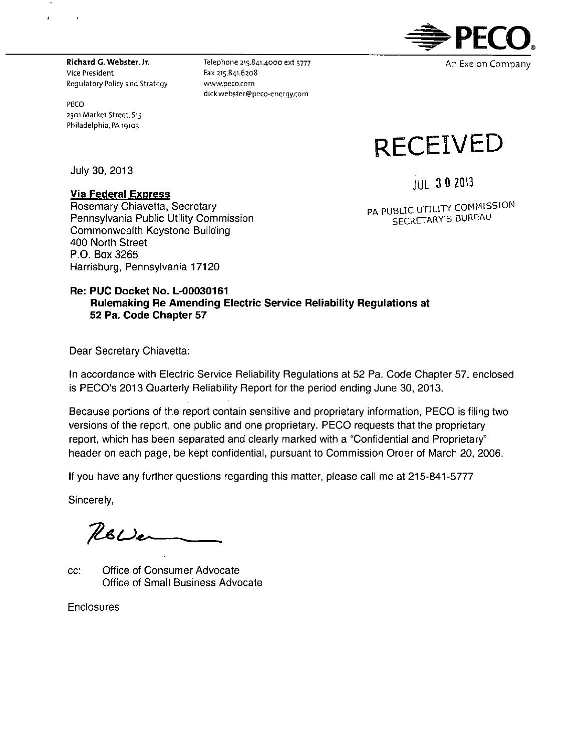

**Richard G. Webster, Jr.**  Vice President<br>Regulatory Policy and Strategy

PECO 2301 Market Street, S15 Philadelphia, PA 19103.

 $\epsilon$ 

 $\rightarrow$ 

Telephone 215.841.4000 ext 5777 Fax 215.841.6208 www.peco.com dick.webster@peco-energy.com

July 30, 2013

### **Via Federal Express**

JUL 3 0 2013

**RECEIVED** 

Rosemary Chiavetta, Secretary Pennsylvania Public Utility Commission Commonwealth Keystone Building 400 North Street P.O. Box 3265 Harrisburg, Pennsylvania 17120

PA PUBLIC UTILITY COMMISSION SECRETARY'S BUREAU

### **Re: PUC Docket No. L-00030161 Rulemaking Re Amending Electric Service Reliability Regulations at 52 Pa. Code Chapter 57**

Dear Secretary Chiavetta:

In accordance with Electric Service Reliability Regulations at 52 Pa. Code Chapter 57, enclosed is PECO's 2013 Quarterly Reliability Report for the period ending June 30, 2013.

Because portions of the report contain sensitive and proprietary information, PECO is filing two versions of the report, one public and one proprietary. PECO requests that the proprietary report, which has been separated and clearly marked with a "Confidential and Proprietary" header on each page, be kept confidential, pursuant to Commission Order of March 20, 2006.

If you have any further questions regarding this matter, please call me at 215-841-5777

Sincerely,

 $Res_{\sim}$ 

cc: Office of Consumer Advocate Office of Small Business Advocate

Enclosures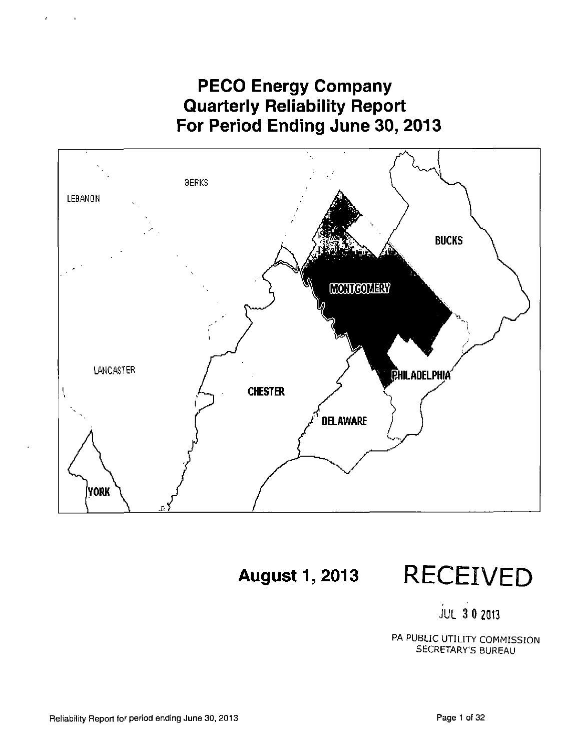**PECO Energy Company Quarterly Reliability Report For Period Ending June 30, 2013** 



**August 1, 2013** RECEIVED

JUL 3 0 2013

PA PUBLIC UTILITY COMMISSION SECRETARY'S BUREAU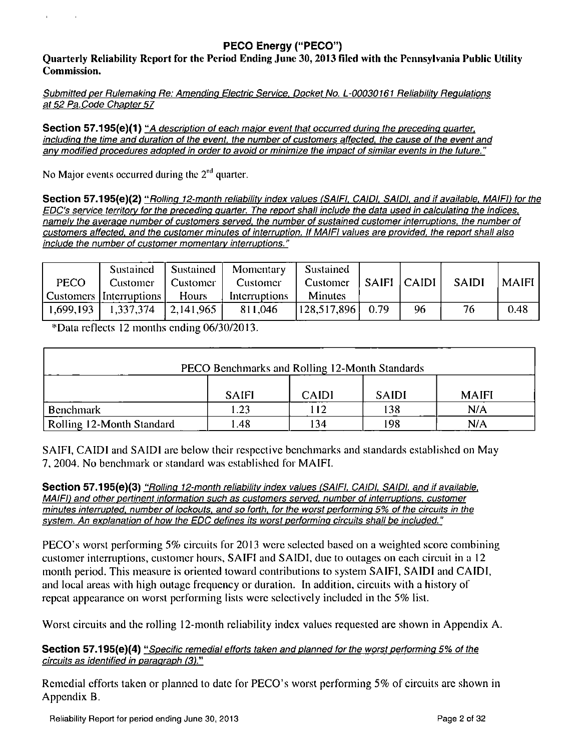## **PECO Energy ("PECO")**

Quarterly Reliability Report for the Period Ending June 30,2013 filed with the Pennsylvania Public Utility Commission.

Submitted per Rulemaking Re: Amending Electric Service, Docket No. L-00030161 Reliability Regulations at 52 Pa.Code Chapter 57

Section 57.195(e)(1) "A description of each major event that occurred during the preceding quarter, including the time and duration of the event, the number of customers affected, the cause of the event and any modified procedures adopted in order to avoid or minimize the impact of similar events in the future."

No Major events occurred during the  $2<sup>nd</sup>$  quarter.

 $\mathbf{r}$  .

 $\sim 10^{-1}$ 

Section 57.195(e)(2) "Rolling 12-month reliability index values (SAIFI, CAIDI, SAIDI, and if available, MAIFI) for the EDO's service territory for the preceding guarter. The report shall include the data used in calculating the indices, namely the average number of customers served, the number of sustained customer interruptions, the number of customers affected, and the customer minutes of interruption. If MAIFI values are provided, the report shall also include the number of customer momentary interruptions."

| <b>PECO</b> | Sustained<br>Customer<br><b>Customers</b> Interruptions | Sustained<br>Customer<br><b>Hours</b> | Momentary<br>Customer<br>Interruptions | Sustained<br>Customer<br><b>Minutes</b> | SAIFI   CAIDI |    | <b>SAIDI</b> | <b>MAIFI</b> |
|-------------|---------------------------------------------------------|---------------------------------------|----------------------------------------|-----------------------------------------|---------------|----|--------------|--------------|
| 1,699,193   | 1,337,374                                               | 2,141,965                             | 811,046                                | 128,517,896                             | 0.79          | 96 | 76           | 0.48         |

\*Data reflects 12 months ending 06/30/2013.

| PECO Benchmarks and Rolling 12-Month Standards               |      |    |     |     |  |  |  |  |  |  |
|--------------------------------------------------------------|------|----|-----|-----|--|--|--|--|--|--|
| <b>MAIFI</b><br><b>SAIFI</b><br><b>CAIDI</b><br><b>SAIDI</b> |      |    |     |     |  |  |  |  |  |  |
| Benchmark                                                    | 1.23 | 12 | 138 | N/A |  |  |  |  |  |  |
| Rolling 12-Month Standard                                    | .48  | 34 | 198 | N/A |  |  |  |  |  |  |

SAIFI, CAIDI and SAIDI are below their respective benchmarks and standards established on May 7, 2004. No benchmark or standard was established for MAIFI.

Section 57.195(e)(3) "Rolling 12-month reliability index values (SAIFI, CAIDI, SAIDI, and if available, MAIFI) and other pertinent information such as customers served, number of interruptions, customer minutes interrupted, number of lockouts, and so forth, for the worst performing 5% of the circuits in the system. An explanation of how the EDC defines its worst performing circuits shall be included."

PECO's worst performing 5% circuits for 2013 were selected based on a weighted score combining customer interruptions, cuslomer hours, SAIFI and SAIDI, due to outages on each circuit in a 12 month period. This measure is oriented toward contributions to system SAIFI, SAIDI and CAIDI, and local areas with high outage frequency or duration. In addition, circuits with a history of repeat appearance on worst performing lists were selectively included in the 5% list.

Worst circuits and the rolling 12-month reliability index values requested are shown in Appendix A.

### Section 57.195(e)(4) "Specific remedial efforts taken and planned for the worst performing 5% of the circuits as identified in paragraph (3)."

Remedial efforts taken or planned to date for PECO's worst performing 5% of circuits arc shown in Appendix B.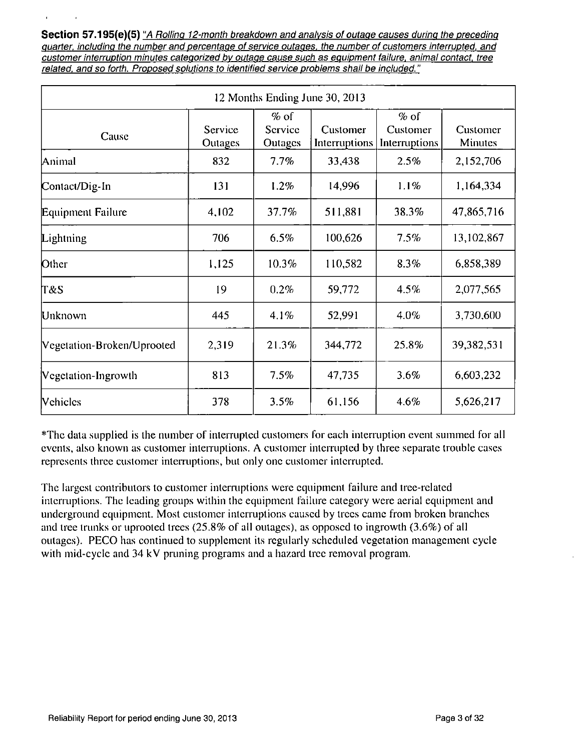Section 57.195(e)(5) "A Rolling 12-month breakdown and analysis of outage causes during the preceding Quarter, including the number and percentage of service outages, the number of customers interrupted, and customer interruption minutes categorized by outage cause such as equipment failure, animal contact, tree related, and so forth. Proposed solutions to identified service problems shall be included."

| 12 Months Ending June 30, 2013 |                    |                              |                           |                                     |                            |  |  |  |  |  |
|--------------------------------|--------------------|------------------------------|---------------------------|-------------------------------------|----------------------------|--|--|--|--|--|
| Cause                          | Service<br>Outages | $%$ of<br>Service<br>Outages | Customer<br>Interruptions | $%$ of<br>Customer<br>Interruptions | Customer<br><b>Minutes</b> |  |  |  |  |  |
| Animal                         | 832                | 7.7%                         | 33,438                    | 2.5%                                | 2,152,706                  |  |  |  |  |  |
| Contact/Dig-In                 | 131                | 1.2%                         | 14,996                    | 1.1%                                | 1,164,334                  |  |  |  |  |  |
| Equipment Failure              | 4,102              | 37.7%                        | 511,881                   | 38.3%                               | 47,865,716                 |  |  |  |  |  |
| Lightning                      | 706                | 6.5%                         | 100,626                   | 7.5%                                | 13,102,867                 |  |  |  |  |  |
| Other                          | 1,125              | 10.3%                        | 110,582                   | 8.3%                                | 6,858,389                  |  |  |  |  |  |
| T&S                            | 19                 | 0.2%                         | 59,772                    | 4.5%                                | 2,077,565                  |  |  |  |  |  |
| Unknown                        | 445                | 4.1%                         | 52,991                    | 4.0%                                | 3,730,600                  |  |  |  |  |  |
| Vegetation-Broken/Uprooted     | 2,319              | 21.3%                        | 344,772                   | 25.8%                               | 39,382,531                 |  |  |  |  |  |
| Vegetation-Ingrowth            | 813                | 7.5%                         | 47,735                    | 3.6%                                | 6,603,232                  |  |  |  |  |  |
| <b>Vehicles</b>                | 378                | 3.5%                         | 61.156                    | 4.6%                                | 5,626,217                  |  |  |  |  |  |

\*Thc data supplied is the number of interrupted customers for each interruption event summed for all events, also known as customer interruptions. A customer interrupled by three separate trouble cases represents three customer interruptions, but only one customer interrupted.

The largest contributors to customer interruptions were equipment failure and tree-related interruptions. The leading groups within the equipment failure category were aerial equipmenl and underground equipment. Most customer interruptions caused by trees came from broken branches and tree trunks or uprooted trees (25.8% of all outages), as opposed to ingrowth (3.6%) of all outages). PECO has continued to supplement its regularly seheduled vegetation management cycle with mid-cycle and 34 kV pruning programs and a hazard tree removal program.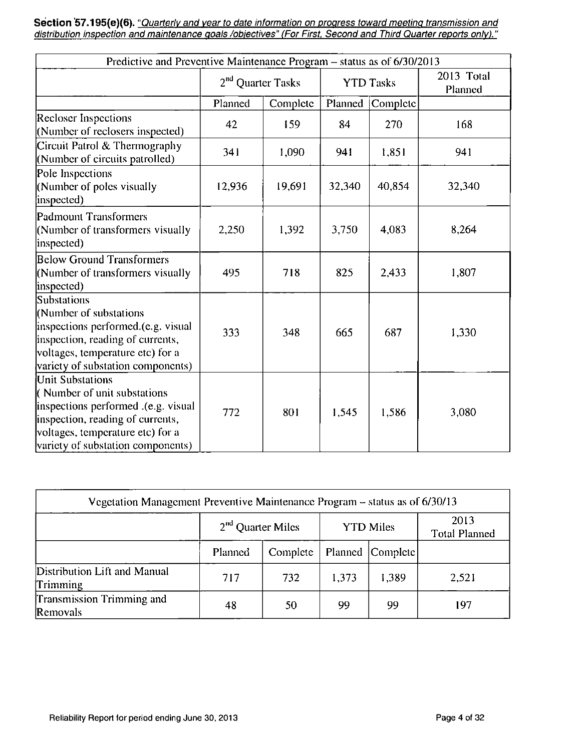Section 57.195(e)(6). "Quarterly and year to date information on progress toward meeting transmission and distribution inspection and maintenance goals /objectives" (For First. Second and Third Quarter reports only)."

| Predictive and Preventive Maintenance Program - status as of 6/30/2013                                                                                                                              |                               |          |         |                  |                       |  |  |  |  |
|-----------------------------------------------------------------------------------------------------------------------------------------------------------------------------------------------------|-------------------------------|----------|---------|------------------|-----------------------|--|--|--|--|
|                                                                                                                                                                                                     | 2 <sup>nd</sup> Quarter Tasks |          |         | <b>YTD Tasks</b> | 2013 Total<br>Planned |  |  |  |  |
|                                                                                                                                                                                                     | Planned                       | Complete | Planned | Complete         |                       |  |  |  |  |
| <b>Recloser Inspections</b><br>(Number of reclosers inspected)                                                                                                                                      | 42                            | 159      | 84      | 270              | 168                   |  |  |  |  |
| Circuit Patrol & Thermography<br>(Number of circuits patrolled)                                                                                                                                     | 341                           | 1,090    | 941     | 1,851            | 941                   |  |  |  |  |
| Pole Inspections<br>(Number of poles visually<br>inspected)                                                                                                                                         | 12,936                        | 19,691   | 32,340  | 40,854           | 32,340                |  |  |  |  |
| Padmount Transformers<br>(Number of transformers visually<br>inspected)                                                                                                                             | 2,250                         | 1,392    | 3,750   | 4,083            | 8,264                 |  |  |  |  |
| <b>Below Ground Transformers</b><br>(Number of transformers visually<br>inspected)                                                                                                                  | 495                           | 718      | 825     | 2,433            | 1,807                 |  |  |  |  |
| Substations<br>(Number of substations<br>inspections performed.(e.g. visual<br>inspection, reading of currents,<br>voltages, temperature etc) for a<br>variety of substation components)            | 333                           | 348      | 665     | 687              | 1,330                 |  |  |  |  |
| Unit Substations<br>(Number of unit substations<br>inspections performed .(e.g. visual<br>inspection, reading of currents,<br>voltages, temperature etc) for a<br>variety of substation components) | 772                           | 801      | 1545    | 1,586            | 3,080                 |  |  |  |  |

| Vegetation Management Preventive Maintenance Program $-$ status as of 6/30/13 |                     |          |       |                  |                              |  |  |  |  |  |  |
|-------------------------------------------------------------------------------|---------------------|----------|-------|------------------|------------------------------|--|--|--|--|--|--|
|                                                                               | $2nd$ Quarter Miles |          |       | <b>YTD Miles</b> | 2013<br><b>Total Planned</b> |  |  |  |  |  |  |
|                                                                               | Planned             | Complete |       | Planned Complete |                              |  |  |  |  |  |  |
| Distribution Lift and Manual<br><b>Trimming</b>                               | 717                 | 732      | 1.373 | 1,389            | 2,521                        |  |  |  |  |  |  |
| Transmission Trimming and<br><b>Removals</b>                                  | 48                  | 50       | 99    | 99               | 197                          |  |  |  |  |  |  |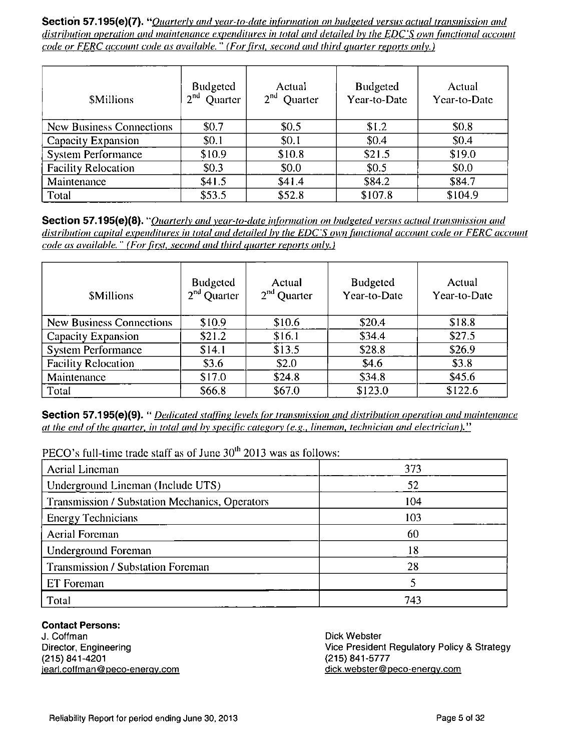Section 57.195(e)(7). "Quarterly and year-to-date information on budgeted versus actual transmission and distribution operation and maintenance expenditures in total and detailed by the EDC'S own functional account code or FERC account code as available. " (For first, second and third quarter reports only.)

| <b>SMillions</b>           | Budgeted<br>2 <sup>nd</sup><br>Quarter | Actual<br>2 <sup>nd</sup><br><b>Quarter</b> | <b>Budgeted</b><br>Year-to-Date | Actual<br>Year-to-Date |
|----------------------------|----------------------------------------|---------------------------------------------|---------------------------------|------------------------|
| New Business Connections   | \$0.7                                  | \$0.5                                       | \$1.2                           | \$0.8                  |
| Capacity Expansion         | \$0.1                                  | \$0.1                                       | \$0.4                           | \$0.4                  |
| <b>System Performance</b>  | \$10.9                                 | \$10.8                                      | \$21.5                          | \$19.0                 |
| <b>Facility Relocation</b> | \$0.3\$                                | \$0.0                                       | \$0.5                           | \$0.0                  |
| Maintenance                | \$41.5                                 | \$41.4                                      | \$84.2                          | \$84.7                 |
| Total                      | \$53.5                                 | \$52.8                                      | \$107.8                         | \$104.9                |

Section 57.195(e)(8). "Quarterly and year-to-date information on budgeted versus actual transmission and distribution capital expenditures in total and detailed by the EDC'S own functional account code or FERC account code as available. " (For first, second and third quarter reports only.)

| <b>SMillions</b>                | <b>Budgeted</b><br>$2nd$ Quarter | Actual<br>$2nd$ Quarter | <b>Budgeted</b><br>Year-to-Date | Actual<br>Year-to-Date |
|---------------------------------|----------------------------------|-------------------------|---------------------------------|------------------------|
| <b>New Business Connections</b> | \$10.9                           | \$10.6                  | \$20.4                          | \$18.8                 |
| <b>Capacity Expansion</b>       | \$21.2                           | \$16.1                  | \$34.4                          | \$27.5                 |
| <b>System Performance</b>       | \$14.1                           | \$13.5                  | \$28.8                          | \$26.9                 |
| <b>Facility Relocation</b>      | \$3.6                            | \$2.0                   | \$4.6                           | \$3.8                  |
| Maintenance                     | \$17.0                           | \$24.8                  | \$34.8                          | \$45.6                 |
| Total                           | \$66.8                           | \$67.0                  | \$123.0                         | \$122.6                |

Section 57.195(e)(9). " *Dedicated staffing levels for transmission and distribution operation and maintenance* at the end of the quarter, in total and by specific category (e.g., lineman, technician and electrician)."

PECO's full-time trade staff as of June  $30<sup>th</sup>$  2013 was as follows:

| Aerial Lineman                                 | 373 |
|------------------------------------------------|-----|
| Underground Lineman (Include UTS)              | 52  |
| Transmission / Substation Mechanics, Operators | 104 |
| <b>Energy Technicians</b>                      | 103 |
| <b>Aerial Foreman</b>                          | 60  |
| Underground Foreman                            | 18  |
| Transmission / Substation Foreman              | 28  |
| ET Foreman                                     |     |
| Total                                          | 743 |

**Contact Persons:** 

J. Coffman Director, Engineering (215) 841-4201 iearl.coffman@peco-enerqv.com Dick Webster Vice President Regulatory Policy & Strategy (215) 841-5777 dick.webster@peco-enerqv.com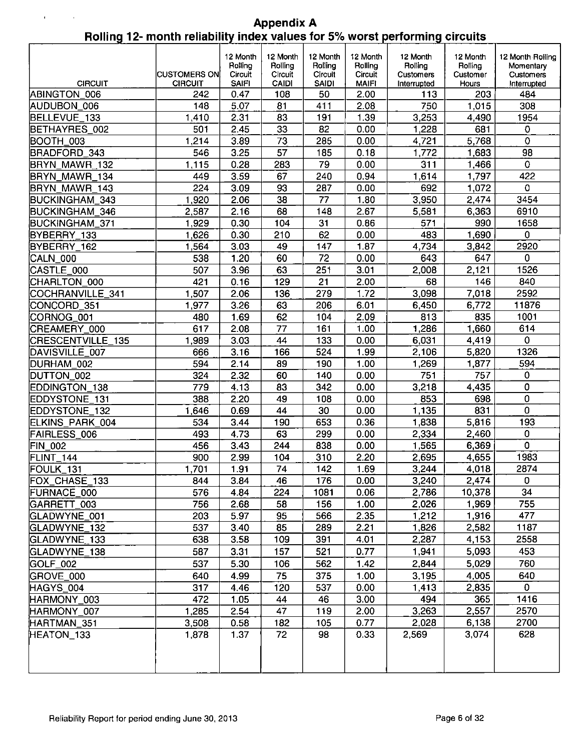|  | <b>Appendix A</b>                                                           |
|--|-----------------------------------------------------------------------------|
|  | Rolling 12- month reliability index values for 5% worst performing circuits |

| <b>CIRCUIT</b>    | <b>CUSTOMERS ON</b><br><b>CIRCUIT</b> | 12 Month<br>Rolling<br>Circuit<br><b>SAIFI</b> | 12 Month<br>Rolling<br>Circuit<br><b>CAIDI</b> | 12 Month<br>Rolling<br>Circuit<br><b>SAIDI</b> | 12 Month<br>Rolling<br>Circuit<br><b>MAIFI</b> | 12 Month<br><b>Rolling</b><br>Customers<br>Interrupted | 12 Month<br>Rolling<br>Customer<br>Hours | 12 Month Rolling<br>Momentary<br>Customers |
|-------------------|---------------------------------------|------------------------------------------------|------------------------------------------------|------------------------------------------------|------------------------------------------------|--------------------------------------------------------|------------------------------------------|--------------------------------------------|
| ABINGTON 006      | 242                                   | 0.47                                           | 108                                            | 50                                             | 2.00                                           | 113                                                    | 203                                      | Interrupted<br>484                         |
| AUDUBON 006       | 148                                   | 5.07                                           | 81                                             | 411                                            | 2.08                                           | 750                                                    | 1,015                                    | 308                                        |
| BELLEVUE_133      | 1410                                  | 2.31                                           | 83                                             | 191                                            | 1.39                                           | 3,253                                                  | 4,490                                    | 1954                                       |
| BETHAYRES_002     | 501                                   | 2.45                                           | 33                                             | 82                                             | 0.00                                           | 1,228                                                  | 681                                      | $\mathbf 0$                                |
| BOOTH_003         | 1.214                                 | 3.89                                           | 73                                             | 285                                            | 0.00                                           | 4,721                                                  | 5,768                                    | $\mathbf 0$                                |
| BRADFORD_343      | 546                                   | 3.25                                           | $\overline{57}$                                | 185                                            | 0.18                                           | 1,772                                                  | 1,683                                    | 98                                         |
| BRYN_MAWR_132     | 1.115                                 | 0.28                                           | 283                                            | 79                                             | 0.00                                           | 311                                                    | 1,466                                    | $\mathbf 0$                                |
| BRYN MAWR 134     | 449                                   | 3.59                                           | 67                                             | 240                                            | 0.94                                           | 1,614                                                  | 1,797                                    | 422                                        |
| BRYN_MAWR_143     | 224                                   | 3.09                                           | 93                                             | 287                                            | 0.00                                           | 692                                                    | 1,072                                    | 0                                          |
| BUCKINGHAM_343    | 1.920                                 | 2.06                                           | $\overline{38}$                                | $\overline{77}$                                | 1.80                                           | 3,950                                                  | 2,474                                    | 3454                                       |
| BUCKINGHAM_346    | 2,587                                 | 2.16                                           | 68                                             | 148                                            | 2.67                                           | 5,581                                                  | 6,363                                    | 6910                                       |
| BUCKINGHAM_371    | 1,929                                 | 0.30                                           | 104                                            | 31                                             | 0.86                                           | 571                                                    | 990                                      | 1658                                       |
| BYBERRY 133       | 1.626                                 | 0.30                                           | 210                                            | 62                                             | 0.00                                           | 483                                                    | 1,690                                    | $\mathbf 0$                                |
| BYBERRY_162       | 1,564                                 | 3.03                                           | 49                                             | 147                                            | 1.87                                           | 4,734                                                  | 3,842                                    | 2920                                       |
| CALN_000          | 538                                   | 1.20                                           | 60                                             | 72                                             | 0.00                                           | 643                                                    | 647                                      | 0                                          |
| CASTLE 000        | 507                                   | 3.96                                           | 63                                             | 251                                            | 3.01                                           | 2,008                                                  | 2,121                                    | 1526                                       |
| CHARLTON_000      | 421                                   | 0.16                                           | 129                                            | 21                                             | 2.00                                           | 68                                                     | 146                                      | 840                                        |
| COCHRANVILLE_341  | 1,507                                 | 2.06                                           | 136                                            | 279                                            | 1.72                                           | 3,098                                                  | 7,018                                    | 2592                                       |
| CONCORD_351       | 1,977                                 | 3.26                                           | 63                                             | 206                                            | 6.01                                           | 6,450                                                  | 6,772                                    | 11876                                      |
| CORNOG_001        | 480                                   | 1.69                                           | 62                                             | 104                                            | 2.09                                           | 813                                                    | 835                                      | 1001                                       |
| CREAMERY_000      | 617                                   | 2.08                                           | 77                                             | 161                                            | 1.00                                           | 1,286                                                  | 1,660                                    | 614                                        |
| CRESCENTVILLE_135 | 1.989                                 | 3.03                                           | 44                                             | 133                                            | 0.00                                           | 6,031                                                  | 4,419                                    | $\mathbf 0$                                |
| DAVISVILLE_007    | 666                                   | 3.16                                           | 166                                            | 524                                            | 1.99                                           | 2,106                                                  | 5,820                                    | 1326                                       |
| DURHAM_002        | 594                                   | 2.14                                           | 89                                             | 190                                            | 1.00                                           | 1,269                                                  | 1,877                                    | 594                                        |
| DUTTON_002        | 324                                   | 2.32                                           | 60                                             | 140                                            | 0.00                                           | 751                                                    | 757                                      | $\pmb{0}$                                  |
| EDDINGTON_138     | 779                                   | 4.13                                           | 83                                             | 342                                            | 0.00                                           | 3,218                                                  | 4,435                                    | 0                                          |
| EDDYSTONE_131     | 388                                   | 2.20                                           | 49                                             | 108                                            | 0.00                                           | 853                                                    | 698                                      | $\mathbf 0$                                |
| EDDYSTONE_132     | 1646                                  | 0.69                                           | 44                                             | 30                                             | 0.00                                           | 1,135                                                  | 831                                      | $\overline{0}$                             |
| ELKINS_PARK_004   | 534                                   | 3.44                                           | 190                                            | 653                                            | 0.36                                           | 1,838                                                  | 5,816                                    | 193                                        |
| FAIRLESS_006      | 493                                   | 4.73                                           | 63                                             | 299                                            | 0.00                                           | 2,334                                                  | 2,460                                    | $\mathbf 0$                                |
| <b>FIN_002</b>    | 456                                   | 3.43                                           | 244                                            | 838                                            | 0.00                                           | 1,565                                                  | 6,369                                    | $\mathbf 0$                                |
| FLINT_144         | 900                                   | 2.99                                           | 104                                            | 310                                            | 2.20                                           | 2,695                                                  | 4,655                                    | 1983                                       |
| FOULK_131         | 1.701                                 | 1.91                                           | $\overline{74}$                                | 142                                            | 1.69                                           | 3,244                                                  | 4,018                                    | 2874                                       |
| FOX_CHASE_133     | 844                                   | 3.84                                           | 46                                             | 176                                            | 0.00                                           | 3,240                                                  | 2,474                                    | 0                                          |
| FURNACE_000       | 576                                   | 4.84                                           | 224                                            | 1081                                           | 0.06                                           | 2,786                                                  | 10,378                                   | 34                                         |
| GARRETT_003       | 756                                   | 2.68                                           | 58                                             | 156                                            | 1.00                                           | 2,026                                                  | 1,969                                    | 755                                        |
| GLADWYNE_001      | 203                                   | 5.97                                           | 95                                             | 566                                            | 2.35                                           | 1,212                                                  | 1,916                                    | 477                                        |
| GLADWYNE_132      | 537                                   | 3.40                                           | 85                                             | 289                                            | 2.21                                           | 1,826                                                  | 2,582                                    | 1187                                       |
| GLADWYNE_133      | 638                                   | 3.58                                           | 109                                            | 391                                            | 4.01                                           | 2,287                                                  | 4,153                                    | 2558                                       |
| GLADWYNE_138      | 587                                   | 3.31                                           | 157                                            | 521                                            | 0.77                                           | 1,941                                                  | 5,093                                    | 453                                        |
| GOLF_002          | 537                                   | 5.30                                           | 106                                            | 562                                            | 1.42                                           | 2,844                                                  | 5,029                                    | 760                                        |
| GROVE_000         | 640                                   | 4.99                                           | 75                                             | 375                                            | 1.00                                           | 3,195                                                  | 4,005                                    | 640                                        |
| HAGYS_004         | 317                                   | 4.46                                           | 120                                            | 537                                            | 0.00                                           | 1,413                                                  | 2,835                                    | $\mathbf 0$                                |
| HARMONY_003       | 472                                   | 1.05                                           | 44                                             | 46                                             | 3.00                                           | 494                                                    | 365                                      | 1416                                       |
| HARMONY_007       | 1,285                                 | 2.54                                           | 47                                             | 119                                            | 2.00                                           | 3,263                                                  | 2,557                                    | 2570                                       |
| HARTMAN_351       | 3,508                                 | 0.58                                           | 182                                            | 105                                            | 0.77                                           | 2,028                                                  | 6,138                                    | 2700                                       |
| HEATON_133        | 1,878                                 | 1.37                                           | 72                                             | 98                                             | 0.33                                           | 2,569                                                  | 3,074                                    | 628                                        |
|                   |                                       |                                                |                                                |                                                |                                                |                                                        |                                          |                                            |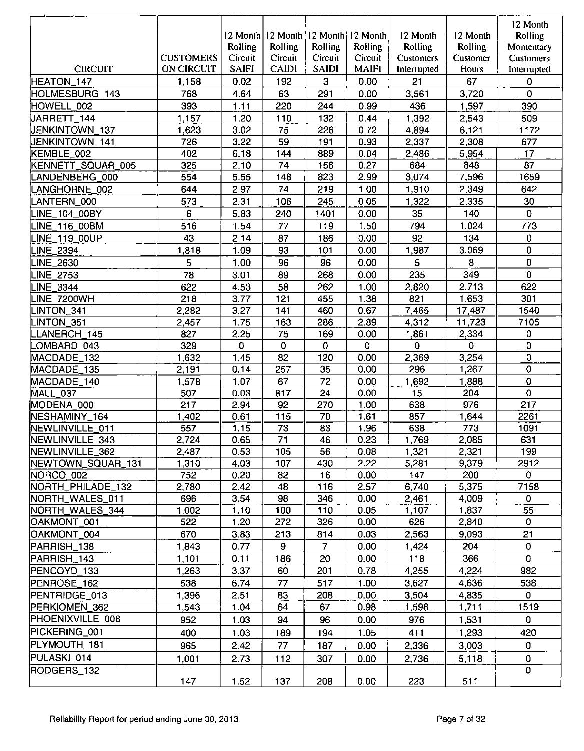|                         | <b>CUSTOMERS</b>  | 12 Month<br>Rolling<br>Circuit | Rolling<br>Circuit | Rolling<br>Circuit | 12 Month 12 Month 12 Month<br>Rolling<br>Circuit | 12 Month<br>Rolling<br><b>Customers</b> | 12 Month<br>Rolling<br>Customer | 12 Month<br><b>Rolling</b><br>Momentary<br>Customers |
|-------------------------|-------------------|--------------------------------|--------------------|--------------------|--------------------------------------------------|-----------------------------------------|---------------------------------|------------------------------------------------------|
| <b>CIRCUIT</b>          | <b>ON CIRCUIT</b> | <b>SAIFI</b>                   | <b>CAIDI</b>       | <b>SAIDI</b>       | <b>MAIFI</b>                                     | Interrupted                             | Hours                           | Interrupted                                          |
| HEATON_147              | 1,158             | 0.02                           | 192                | 3                  | 0.00                                             | 21                                      | 67                              | $\mathbf 0$                                          |
| HOLMESBURG_143          | 768               | 4.64                           | 63                 | 291                | 0.00                                             | 3,561                                   | 3,720                           | $\mathbf 0$                                          |
| HOWELL_002              | 393               | 1.11                           | 220                | 244                | 0.99                                             | 436                                     | 1,597                           | 390                                                  |
| JARRETT_144             | 1.157             | 1.20                           | 110                | 132                | 0.44                                             | 1,392                                   | 2,543                           | 509                                                  |
| JENKINTOWN_137          | 1,623             | 3.02                           | 75                 | 226                | 0.72                                             | 4,894                                   | 6,121                           | 1172                                                 |
| JENKINTOWN_141          | 726               | 3.22                           | 59                 | 191                | 0.93                                             | 2,337                                   | 2,308                           | 677                                                  |
| KEMBLE_002              | 402               | 6.18                           | 144                | 889                | 0.04                                             | 2,486                                   | 5,954                           | 17                                                   |
| KENNETT_SQUAR_005       | 325               | 2.10                           | 74                 | 156                | 0.27                                             | 684                                     | 848                             | $\overline{87}$                                      |
| LANDENBERG_000          | 554               | 5.55                           | 148                | 823                | 2.99                                             | 3,074                                   | 7,596                           | 1659                                                 |
| LANGHORNE_002           | 644               | 2.97                           | 74                 | 219                | 1.00                                             | 1,910                                   | 2,349                           | 642                                                  |
| LANTERN_000             | 573               | 2.31                           | 106                | 245                | 0.05                                             | 1,322                                   | 2,335                           | 30                                                   |
| LINE_104_00BY           | 6                 | 5.83                           | 240                | 1401               | 0.00                                             | 35                                      | 140                             | $\Omega$                                             |
| LINE_116_00BM           | 516               | 1.54                           | 77                 | 119                | 1.50                                             | 794                                     | 1,024                           | 773                                                  |
| LINE_119_00UP           | 43                | 2.14                           | 87                 | 186                | 0.00                                             | 92                                      | 134                             | 0                                                    |
| LINE_2394               | 1,818             | 1.09                           | 93                 | 101                | 0.00                                             | 1,987                                   | 3,069                           | 0                                                    |
| LINE_2630               | 5                 | 1.00                           | 96                 | 96                 | 0.00                                             | 5                                       | 8                               | 0                                                    |
| LINE_2753               | 78                | 3.01                           | 89                 | 268                | 0.00                                             | 235                                     | 349                             | $\mathbf 0$                                          |
| LINE_3344               | 622               | 4.53                           | 58                 | 262                | 1.00                                             | 2,820                                   | 2,713                           | 622                                                  |
| LINE_7200WH             | 218               | 3.77                           | 121                | 455                | 1.38                                             | 821                                     | 1,653                           | 301                                                  |
| LINTON_341              | 2,282             | 3.27                           | 141                | 460                | 0.67                                             | 7,465                                   | 17,487                          | 1540                                                 |
| LINTON_351              | 2,457             | 1.75                           | 163                | 286                | 2.89                                             | 4,312                                   | 11,723                          | 7105                                                 |
| LLANERCH_145            | 827               | 2.25                           | 75                 | 169                | 0.00                                             | 1,861                                   | 2,334                           | 0                                                    |
| LOMBARD_043             | 329               | 0                              | 0                  | $\mathbf 0$        | 0                                                | $\mathbf 0$                             | $\mathbf 0$                     | 0                                                    |
| MACDADE_132             | 1,632             | 1.45                           | 82                 | 120                | 0.00                                             | 2,369                                   | 3,254                           | 0                                                    |
| MACDADE_135             | 2,191             | 0.14<br>1.07                   | 257<br>67          | 35<br>72           | 0.00<br>0.00                                     | 296<br>1,692                            | 1,267                           | $\mathbf 0$<br>$\pmb{0}$                             |
| MACDADE_140<br>MALL_037 | 1,578<br>507      | 0.03                           | 817                | 24                 | 0.00                                             | 15                                      | 1,888<br>204                    | $\bf{0}$                                             |
| MODENA_000              | 217               | 2.94                           | 92                 | 270                | 1.00                                             | 638                                     | 976                             | 217                                                  |
| NESHAMINY_164           | 1.402             | 0.61                           | 115                | 70                 | 1.61                                             | 857                                     | 1,644                           | 2261                                                 |
| NEWLINVILLE_011         | 557               | 1.15                           | 73                 | 83                 | 1.96                                             | 638                                     | 773                             | 1091                                                 |
| NEWLINVILLE_343         | 2,724             | 0.65                           | 71                 | 46                 | 0.23                                             | 1,769                                   | 2,085                           | 631                                                  |
| NEWLINVILLE_362         | 2.487             | 0.53                           | 105                | 56                 | 0.08                                             | 1,321                                   | 2,321                           | 199                                                  |
| NEWTOWN_SQUAR_131       | 1.310             | 4.03                           | 107                | 430                | 2.22                                             | 5,281                                   | 9,379                           | 2912                                                 |
| NORCO_002               | 752               | 0.20                           | 82                 | 16                 | 0.00                                             | 147                                     | 200                             | 0                                                    |
| NORTH_PHILADE_132       | 2,780             | 2.42                           | 48                 | 116                | 2.57                                             | 6,740                                   | 5,375                           | 7158                                                 |
| NORTH_WALES_011         | 696               | 3.54                           | 98                 | 346                | 0.00                                             | 2,461                                   | 4,009                           | $\mathbf{0}$                                         |
| NORTH_WALES_344         | 1.002             | 1.10                           | 100                | 110                | 0.05                                             | 1,107                                   | 1,837                           | 55                                                   |
| OAKMONT_001             | 522               | 1.20                           | 272                | 326                | 0.00                                             | 626                                     | 2,840                           | $\mathbf 0$                                          |
| OAKMONT_004             | 670               | 3.83                           | 213                | 814                | 0.03                                             | 2,563                                   | 9,093                           | 21                                                   |
| PARRISH_138             | 1,843             | 0.77                           | 9                  | $\overline{7}$     | 0.00                                             | 1,424                                   | 204                             | $\mathbf 0$                                          |
| PARRISH_143             | 1.101             | 0.11                           | 186                | 20                 | 0.00                                             | 118                                     | 366                             | $\mathbf 0$                                          |
| PENCOYD_133             | 1,263             | 3.37                           | 60                 | 201                | 0.78                                             | 4,255                                   | 4,224                           | 982                                                  |
| PENROSE_162             | 538               | 6.74                           | 77                 | 517                | 1.00                                             | 3,627                                   | 4,636                           | 538                                                  |
| PENTRIDGE_013           | 1,396             | 2.51                           | 83                 | 208                | 0.00                                             | 3,504                                   | 4,835                           | $\mathbf 0$                                          |
| PERKIOMEN_362           | 1,543             | 1.04                           | 64                 | 67                 | 0.98                                             | 1,598                                   | 1,711                           | 1519                                                 |
| PHOENIXVILLE_008        | 952               | 1.03                           | 94                 | 96                 | 0.00                                             | 976                                     | 1,531                           | $\mathbf 0$                                          |
| PICKERING_001           | 400               | 1.03                           | 189                | 194                | 1.05                                             | 411                                     | 1,293                           | 420                                                  |
| PLYMOUTH_181            | 965               | 2.42                           | 77                 | 187                | 0.00                                             | 2,336                                   | 3,003                           | 0                                                    |
| PULASKI_014             | 1.001             | 2.73                           | 112                | 307                | 0.00                                             | 2,736                                   | 5,118                           | 0                                                    |
| RODGERS_132             |                   |                                |                    |                    |                                                  |                                         |                                 | $\Omega$                                             |
|                         | 147               | 1.52                           | 137                | 208                | 0.00                                             | 223                                     | 511                             |                                                      |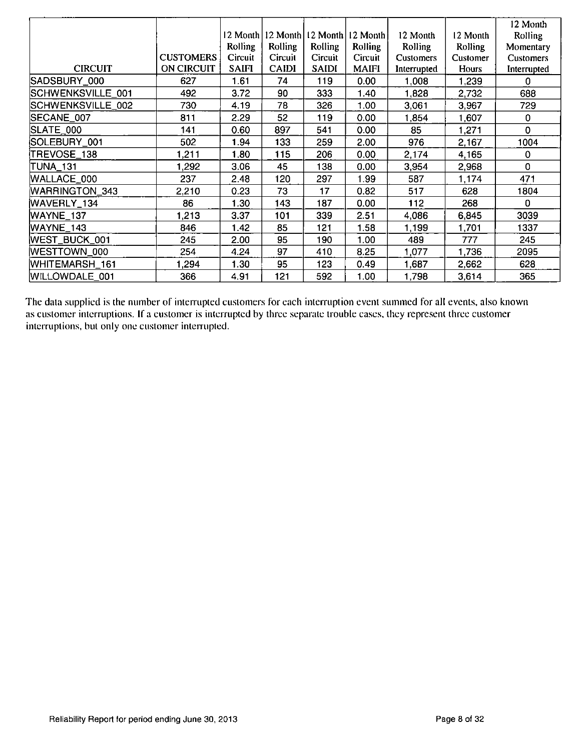|                   |                  |                   |              |                     |                |                  |          | 12 Month         |
|-------------------|------------------|-------------------|--------------|---------------------|----------------|------------------|----------|------------------|
|                   |                  | 12 Month          |              | 12 Month   12 Month | 12 Month       | 12 Month         | 12 Month | Rolling          |
|                   |                  | Rolling           | Rolling      | Rolling             | <b>Rolling</b> | Rolling          | Rolling  | Momentary        |
|                   | <b>CUSTOMERS</b> | Circuit           | Circuit      | Circuit             | Circuit        | <b>Customers</b> | Customer | <b>Customers</b> |
| <b>CIRCUIT</b>    | ON CIRCUIT       | <b>SAIFI</b>      | <b>CAIDI</b> | <b>SAIDI</b>        | <b>MAIFI</b>   | Interrupted      | Hours    | Interrupted      |
| SADSBURY_000      | 627              | 1.61              | 74           | 119                 | 0.00           | 1,008            | 1,239    | 0                |
| SCHWENKSVILLE_001 | 492              | 3.72              | 90           | 333                 | 1.40           | 1,828            | 2,732    | 688              |
| SCHWENKSVILLE_002 | 730              | 4.19              | 78           | 326                 | 1.00           | 3,061            | 3,967    | 729              |
| SECANE_007        | 811              | 2.29              | 52           | 119                 | 0.00           | 1,854            | 1,607    | 0                |
| SLATE_000         | 141              | 0.60              | 897          | 541                 | 0.00           | 85               | 1,271    | 0                |
| SOLEBURY_001      | 502              | 1.94              | 133          | 259                 | 2.00           | 976              | 2,167    | 1004             |
| TREVOSE_138       | 1.211            | 1.80              | 115          | 206                 | 0.00           | 2,174            | 4,165    | $\mathbf 0$      |
| <b>TUNA_131</b>   | 1.292            | 3.06              | 45           | 138                 | 0.00           | 3,954            | 2,968    | 0                |
| WALLACE_000       | 237              | 2.48              | 120          | 297                 | 1.99           | 587              | 1,174    | 471              |
| WARRINGTON_343    | 2,210            | 0.23              | 73           | 17                  | 0.82           | 517              | 628      | 1804             |
| WAVERLY_134       | 86               | 1.30 <sub>1</sub> | 143          | 187                 | 0.00           | 112              | 268      | 0                |
| WAYNE_137         | 1213             | 3.37              | 101          | 339                 | 2.51           | 4,086            | 6,845    | 3039             |
| WAYNE_143         | 846              | 1.42              | 85           | 121                 | 1.58           | 1,199            | 1,701    | 1337             |
| WEST_BUCK_001     | 245              | 2.00              | 95           | 190                 | 1.00           | 489              | 777      | 245              |
| WESTTOWN_000      | 254              | 4.24              | 97           | 410                 | 8.25           | 1,077            | 1,736    | 2095             |
| WHITEMARSH 161    | 1,294            | 1.30              | 95           | 123                 | 0.49           | 1,687            | 2,662    | 628              |
| WILLOWDALE 001    | 366              | 4.91              | 121          | 592                 | 1.00           | 1,798            | 3,614    | 365              |

The data supplied is the number of interrupted customers for each interruption event summed for all events, also known as customer interruptions. If a customer is inlerruptcd by three separate trouble cases, they represent three customer interruptions, but only one customer interrupted.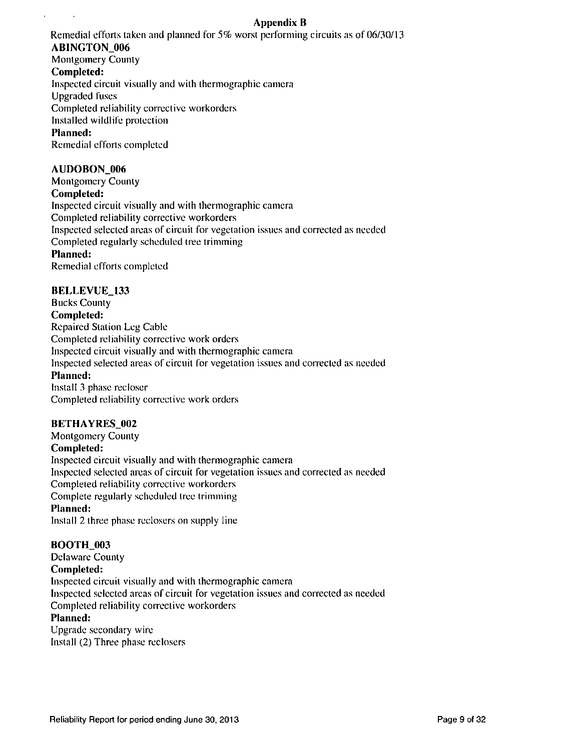## **Appendix B**

Remedial efforts taken and planned for 5% worst performing circuits as of 06/30/13

## **ABINGTON\_006**

Montgomery County

## **Completed:**

 $\lambda$ 

 $\sim$ 

Inspected circuit visually and with thermographic camera

Upgraded fuses

Completed reliability corrective workorders

Installed wildlife protection

## **Planned:**

Remedial efforts completed

## **AUDOBON\_006**

**Montgomery County Completed:**  Inspected circuit visually and with thermographic camera Completed reliability corrective workorders Inspected selected areas of circuit for vegetation issues and corrected as needed Completed regularly scheduled tree trimming **Planned:**  Remedial efforts completed

## **BELLEVUE\_133**

**Bucks County Completed:**  Repaired Station Leg Cable Completed reliability corrective work orders Inspected circuit visually and with thermographic camera Inspected selected areas of circuit for vegetation issues and corrected as needed **Planned:**  Install 3 phase recloscr Completed reliability corrective work orders

### **BETHAYRES\_002**

**Montgomery County Completed:**  Inspected circuit visually and with thermographic camera Inspected selected areas of circuit for vegetation issues and corrected as needed Compleied reliability corrective workorders Complete regularly scheduled tree trimming

## **Planned:**

Install 2 three phase reclosers on supply line

## **BOOTH\_003**

**Delaware County Completed:**  Inspected circuit visually and with thermographic camera Inspected selected areas of circuit for vegetation issues and corrected as needed Completed reliability corrective workorders **Planned:**  Upgrade secondary wire

Install (2) Three phase reclosers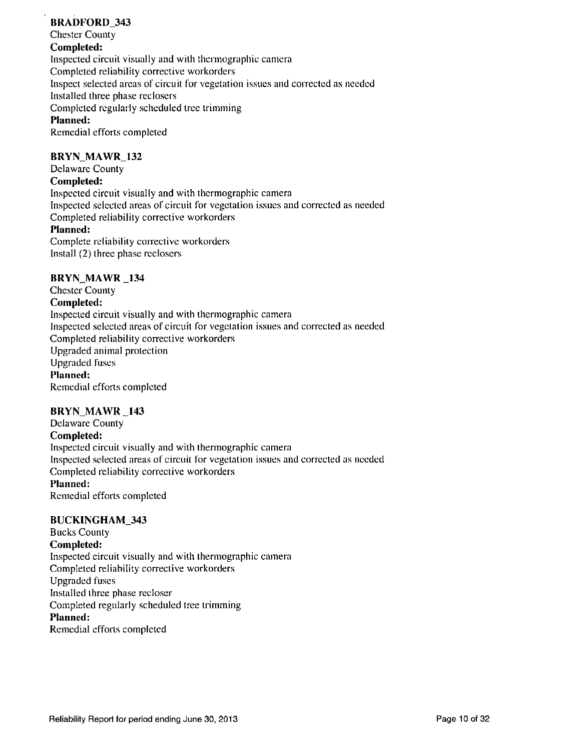## **BRADFORD\_343**

**Chester County Completed:**  Inspected circuit visually and with thermographic camera Completed reliability corrective workorders Inspect selected areas of circuit for vegetation issues and corrected as needed Installed three phase reclosers Completed regularly scheduled tree trimming **Planned:**  Remedial efforts completed

# **BRYN\_MAWR\_132**

**Delaware County** 

### **Completed:**

Inspected circuit visually and with thermographic camera Inspected selected areas of circuit for vegetation issues and corrected as needed Completed reliability corrective workorders **Planned:**  Complete reliability corrective workorders

Install (2) three phase reclosers

### **BRYN MAWR 134**

**Chester County Completed:**  Inspected circuit visually and with thermographic camera Inspected selected areas of circuit for vegetation issues and corrected as needed Completed reliability corrective workorders Upgraded animal protection Upgraded fuses **Planned:**  Remedial efforts completed

### **BRYN\_MAWR \_143**

**Delaware County Completed:**  Inspected circuit visually and with thermographic camera Inspected selected areas of circuit for vegetation issues and corrected as needed Completed reliability corrective workorders **Planned:**  Remedial efforts completed

### **BUCKINGHAM\_343**

**Bucks County Completed:**  Inspected circuit visually and with thermographic camera Completed reliability corrective workorders Upgraded fuses Installed three phase recloser Completed regularly scheduled tree trimming **Planned:**  Remedial efforts completed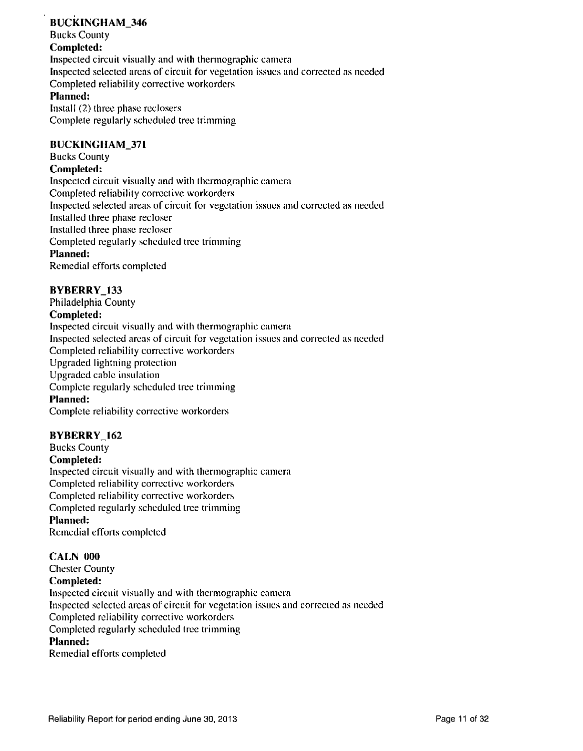### **BUCKINGHAM\_346 Bucks County Completed:**  Inspected circuit visually and with thermographic camera Inspected selected areas of circuit for vegetation issues and corrected as needed Completed reliability corrective workorders **Planned:**  Install (2) three phase reclosers

Complete regularly scheduled tree trimming

### **BUCKINGHAM\_371**

**Bucks County** 

#### **Completed:**

Inspected circuit visually and with thermographic camera Completed reliability corrective workorders Inspected selected areas of circuit for vegetation issues and corrected as needed Installed three phase recloser Installed three phase recloser Completed regularly scheduled tree trimming **Planned:**  Remedial efforts completed

### **BYBERRY\_133**

**Philadelphia County Completed:**  Inspected circuit visually and with thermographic camera Inspected selected areas of circuit for vegetation issues and corrected as needed Completed reliability corrective workorders Upgraded lightning protection Upgraded cable insulation Complete regularly scheduled tree trimming **Planned:**  Complete reliability corrective workorders

### **BYBERRY\_162**

**Bucks County Completed: Inspected circuit visually and with thermographic camera Completed reliability corrective workorders Completed reliability corrective workorders Completed regularly scheduled tree trimming Planned:**  Remedial efforts compleied

### CALN\_000

**Chester County Completed:**  Inspected circuit visually and with thermographic camera Inspected selected areas of circuit for vegetation issues and corrected as needed Completed reliability corrective workorders Completed regularly scheduled tree trimming **Planned:**  Remedial efforts completed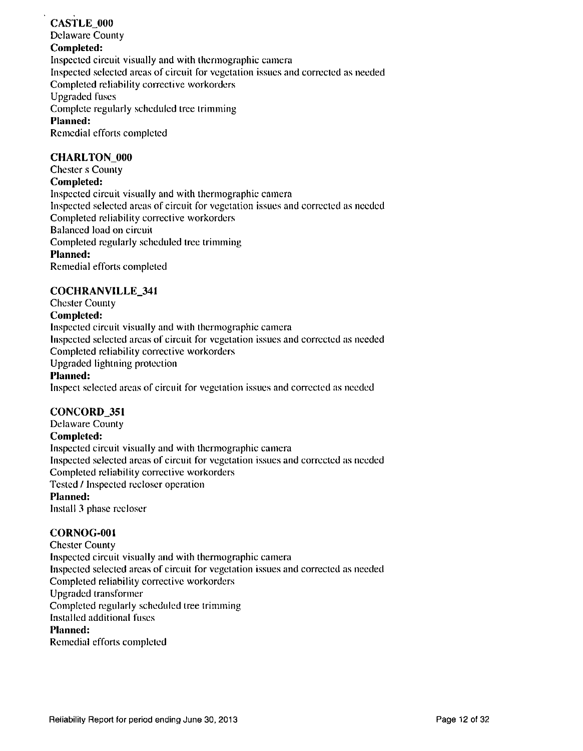## **CASTLE\_000 Delaware County Completed:**  Inspected circuit visually and with thermographic camera Inspected selected areas of circuit for vegetation issues and corrected as needed Completed reliability corrective workorders Upgraded fuses **Complete regularly scheduled tree trimming Planned:**  Remedial efforts completed

### **CHARLTON\_000**

**Chester s County Completed:**  Inspected circuit visually and with thermographic camera Inspected selected areas of circuit for vegetation issues and corrected as needed Completed reliability corrective workorders Balanced load on circuit Completed regularly scheduled tree trimming **Planned:**  Remedial efforts completed

### **COCHRANVILLE\_34I**

**Chester County Completed:**  Inspected circuit visually and with thermographic camera Inspected selected areas of circuit for vegetation issues and corrected as needed Completed reliability corrective workorders Upgraded lightning protection **Planned:**  Inspect selected areas of circuit for vegetation issues and corrected as needed

### **CONCORD\_351**

**Delaware County Completed:**  Inspected circuit visually and with thermographic camera Inspected selected areas of circuit for vegetation issues and corrected as needed Completed reliability corrective workorders Tested / Inspected recloser operation **Planned:**  Install 3 phase recloser

### **CORNOG-OOI**

Chester County Inspected circuit visually and with thermographic camera Inspected selected areas of circuit for vegetation issues and corrected as needed Completed reliability corrective workorders Upgraded transformer Completed regularly scheduled tree trimming Installed additional fuses **Planned:** 

Remedial efforts completed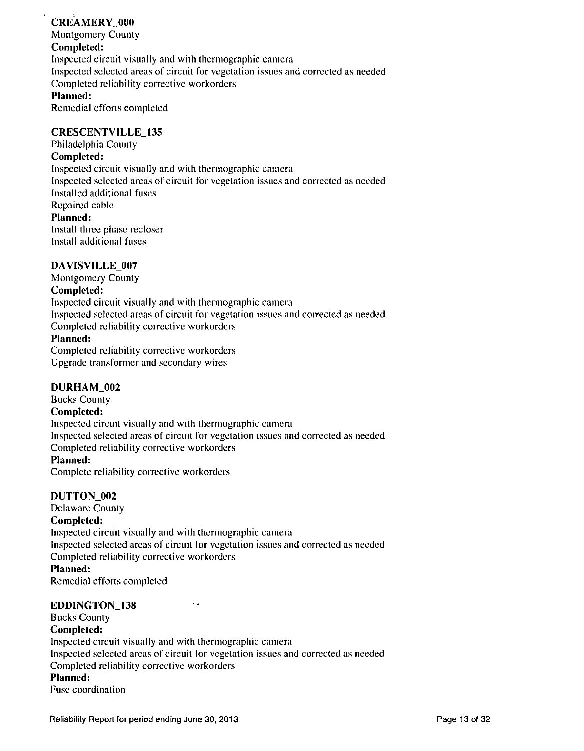## **CREAMERY** 000

**Montgomery County Completed:**  Inspected circuit visually and with thermographic camera Inspected selected areas of circuit for vegetation issues and corrected as needed Completed reliability corrective workorders **Planned:**  Remedial efforts completed

### **CRESCENTVILLE\_I35**

**Philadelphia County** 

### **Completed:**

Inspected circuit visually and with thermographic camera Inspected selected areas of circuit for vegetation issues and corrected as needed Installed additional fuses Repaired cable **Planned:**  Install three phase recloser Install additional fuses

### **DAVISVILLE\_007**

**Montgomery County Completed:**  Inspected circuit visually and with thermographic camera Inspected selected areas of circuit for vegetation issues and corrected as needed Completed reliability corrective workorders **Planned:** 

Completed reliability corrective workorders Upgrade transformer and secondary wires

### **DURHAM\_002**

**Bucks County Completed:**  Inspected circuit visually and with thermographic camera Inspected selected areas of circuit for vegetation issues and corrected as needed Completed reliability corrective workorders **Planned:** 

Complete reliability corrective workorders

### **DUTTON\_002**

**Delaware County** 

### **Completed:**

Inspected circuit visually and with thermographic camera Inspected selected areas of circuit for vegetation issues and corrected as needed Completed reliability corrective workorders

**Planned:**  Remedial efforts completed

### **EDDINGTON\_138**

**Bucks County** 

**Completed:**  Inspected circuit visually and with thermographic camera Inspected selected areas of circuit for vegetation issues and corrected as needed Completed reliability corrective workorders **Planned:**  Fuse coordination

 $\sim$  .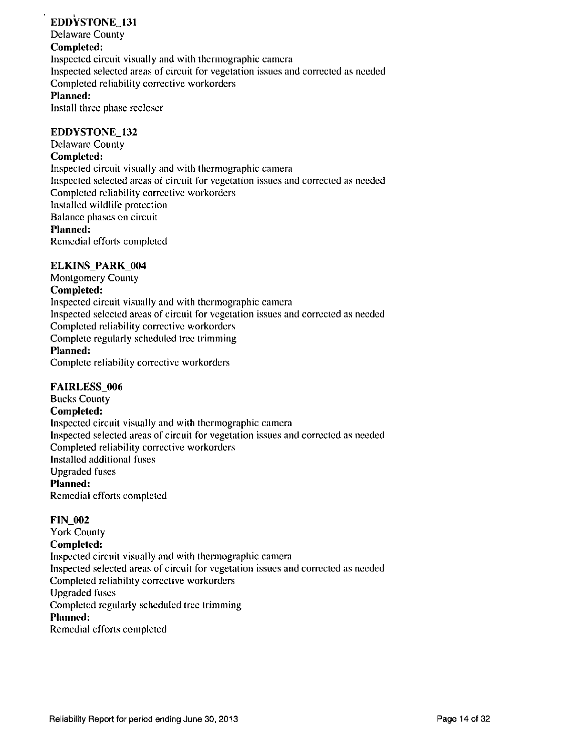## **EDDYSTONE\_I31**

**Delaware County** 

## **Completed:**

Inspected circuit visually and with thermographic camera Inspected selected areas of circuit for vegetation issues and corrected as needed Completed reliability corrective workorders **Planned:**  Install three phase recloser

### **EDDYSTONE 132**

**Delaware County** 

### **Completed:**

Inspected circuit visually and with thermographic camera Inspected selected areas of circuit for vegetation issues and corrected as needed Completed reliability corrective workorders Installed wildlife protection Balance phases on circuit **Planned:**  Remedial efforts completed

### **ELKINS\_PARK\_004**

**Montgomery County Completed:**  Inspected circuit visually and with thermographic camera Inspected selected areas of circuit for vegetation issues and corrected as needed Completed reliability corrective workorders Complete regularly scheduled tree trimming **Planned:**  Complete reliability corrective workorders

### **FAIRLESS\_006**

**Bucks County Completed:**  Inspected circuit visually and with thermographic camera Inspected selected areas of circuit for vegetation issues and corrected as needed Completed reliability corrective workorders Installed additional fuses Upgraded fuses **Planned:**  Remedial efforts completed

### **FIN\_002**

**York County Completed:**  Inspected circuit visually and with thermographic camera Inspected selected areas of circuit for vegetation issues and corrected as needed Completed reliability corrective workorders Upgraded fuses **Completed regularly scheduled tree trimming Planned:**  Remedial efforts completed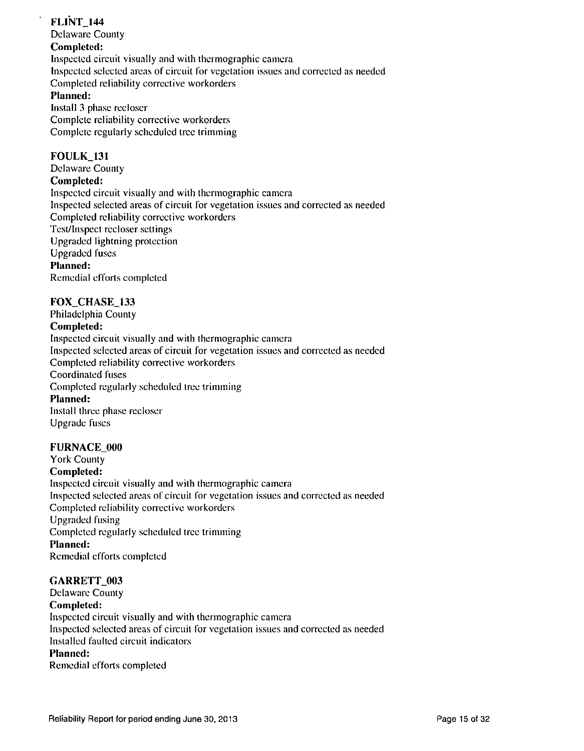## **FL1NT\_144**

**Delaware County** 

## **Completed:**

Inspected circuit visually and with thermographic camera Inspected selected areas of circuit for vegetation issues and corrected as needed Completed reliability corrective workorders **Planned:**  Install 3 phase recloscr Complete reliability corrective workorders Complete regularly scheduled tree trimming

### **FOULK\_13I**

**Delaware County** 

## **Completed:**

Inspected circuit visually and wilh thermographic camera Inspected selected areas of circuit for vegetation issues and corrected as needed Completed reliability corrective workorders Test/Inspect recloser settings Upgraded lightning protection Upgraded fuses **Planned:**  Remedial efforts completed

### **FOX\_CHASE\_133**

**Philadelphia County** 

### **Completed:**

Inspected circuit visually and with thermographic camera Inspected selected areas of circuit for vegetation issues and corrected as needed Completed reliability corrective workorders Coordinated fuses **Completed regularly scheduled tree trimming Planned:**  Install three phase recloser Upgrade fuses

### **FURNACE\_000**

**York County Completed:**  Inspected circuit visually and with thermographic camera Inspected selected areas of circuit for vegetation issues and corrected as needed Completed reliability corrective workorders Upgraded fusing **Completed regularly scheduled tree trimming Planned:**  Remedial efforts completed

### **GARRETT** 003

**Delaware County** 

**Completed:** 

Inspected circuit visually and with thermographic camera Inspected selected areas of circuit for vegetation issues and corrected as needed Installed faulted circuit indicators **Planned:**  Remedial efforts completed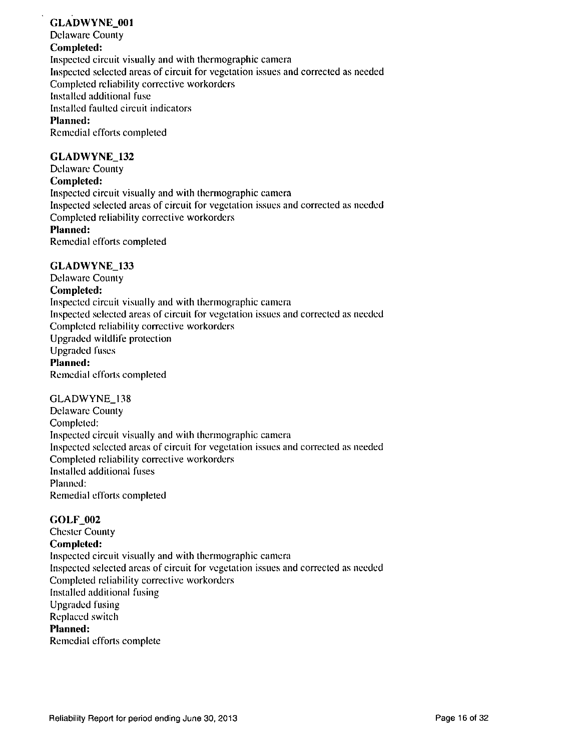## **GLADWYNE\_001**

**Delaware County** 

### **Completed:**

Inspected circuit visually and with thermographic camera Inspected selected areas of circuit for vegetation issues and corrected as needed Completed reliability corrective workorders Installed additional fuse Installed faulted circuit indicators **Planned:**  Remedial efforts completed

### **GLADWYNE\_132**

**Delaware County Completed:**  Inspected circuit visually and with thermographic camera Inspected selected areas of circuit for vegetation issues and corrected as needed Completed reliability corrective workorders **Planned:** 

Remedial efforts completed

### **GLADWYNE\_133**

**Delaware County Completed:**  Inspected circuit visually and with thermographic camera Inspected selected areas of circuit for vegetation issues and corrected as needed Completed reliability corrective workorders Upgraded wildlife protection Upgraded fuses **Planned:**  Remedial efforts completed

### GLADWYNE\_138

Delaware County Completed: Inspected circuit visually and wilh thermographic camera Inspected selected areas of circuit for vegetation issues and corrected as needed Completed reliability corrective workorders Installed addilionai fuses Planned: Remedial efforts completed

### **GOLF\_002**

**Chester County Completed:**  Inspected circuit visually and with thermographic camera Inspected selected areas of circuit for vegetation issues and correcled as needed Completed reliability corrective workorders Installed additional fusing Upgraded fusing Replaced switch **Planned:**  Remedial efforts complete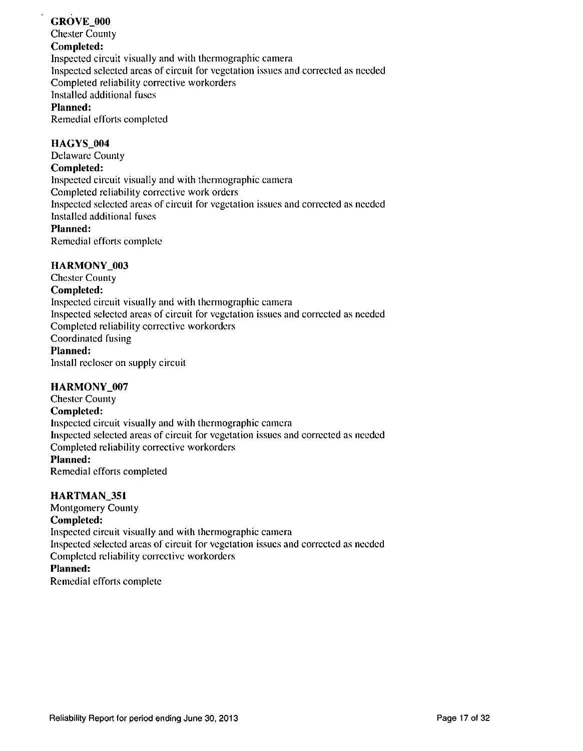## **GROVE\_000**

**Chester County** 

## **Completed:**

Inspected circuit visually and with thermographic camera Inspected selected areas of circuit for vegetation issues and corrected as needed Completed reliability corrective workorders Installed additional fuses **Planned:** 

Remedial efforts completed

## **HAGYS** 004

**Delaware County** 

### **Completed:**

Inspected circuit visually and with thermographic camera Completed reliability corrective work orders Inspected selected areas of circuit for vegetation issues and corrected as needed Installed additional fuses **Planned:** 

Remedial efforts complete

## **HARMONY\_003**

**Chester County Completed:**  Inspected circuit visually and with thermographic camera Inspected selected areas of circuit for vegetation issues and corrected as needed Completed reliability corrective workorders Coordinated fusing **Planned:**  Install recloscr on supply circuit

### **HARMONY\_007**

**Chester County Completed:**  Inspected circuit visually and with thermographic camera Inspected selected areas of circuit for vegetation issues and corrected as needed Completed reliability corrective workorders **Planned:** 

Remedial efforts completed

### **HARTMAN\_3S1**

**Montgomery County** 

### **Completed:**

Inspected circuit visually and with thermographic camera Inspected selected areas of circuit for vegetation issues and corrected as needed Completed reliability corrective workorders

### **Planned:**

Remedial efforts complete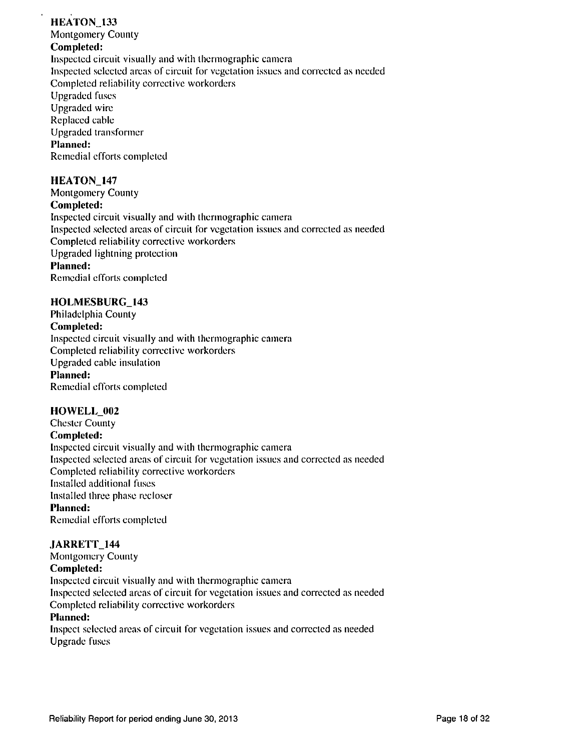## **HEATON\_I33**

**Montgomery County** 

## **Completed:**

Inspected circuit visually and with thermographic camera Inspected selected areas of circuit for vegetation issues and corrected as needed Completed reliability corrective workorders Upgraded fuses Upgraded wire Replaced cable Upgraded transformer **Planned:**  Remedial efforts completed

## **HEATON\_147**

**Montgomery County Completed:**  Inspected circuit visually and with thermographic camera Inspected selected areas of circuit for vegetation issues and corrected as needed Completed reliability corrective workorders Upgraded lightning protection **Planned:**  Remedial efforts completed

### **HOLIVIESBURG\_143**

**Philadelphia County Completed: Inspected circuit visually and with thermographic camera Completed reliability corrective workorders Upgraded cable insulation Planned:**  Remedial efforts completed

## **HOWELL\_002**

**Chester County Completed:**  Inspected circuit visually and with thermographic camera Inspected selected areas of circuit for vegetation issues and corrected as needed Completed reliability corrective workorders Installed additional fuses Installed three phase recloser **Planned:**  Remedial efforts completed

### **JARRETT\_144**

**Montgomery County Completed:**  Inspected circuit visually and with thermographic camera Inspected selected areas of circuit for vegetation issues and corrected as needed Completed reliability corrective workorders **Planned:** 

Inspect selected areas of circuit for vegetation issues and corrected as needed Upgrade fuses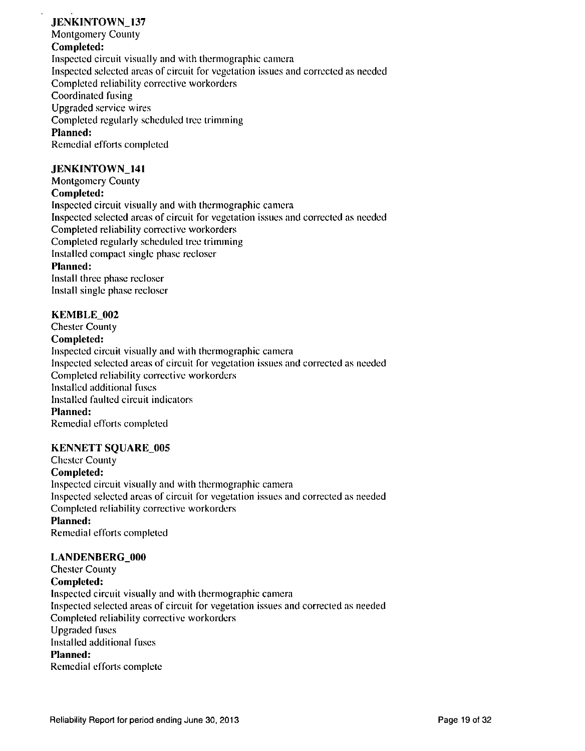## **JENKINTOWN\_137**

**Montgomery County** 

## **Completed:**

Inspected circuit visually and with thermographic camera Inspected selected areas of circuit for vegetation issues and corrected as needed Completed reliability corrective workorders Coordinated fusing Upgraded service wires Completed regularly scheduled tree trimming Planned: Remedial efforts completed

### **JENKINTOWN\_141**

**Montgomery County Completed:**  Inspected circuit visually and with thermographic camera Inspected selected areas of circuit for vegetation issues and corrected as needed Completed reliability corrective workorders Completed regularly scheduled tree trimming Installed compact single phase recloscr **Planned:** 

Install three phase recloser Install single phase recloser

### **KEMBLE\_002**

**Chester County Completed:** 

Inspected circuit visually and with thermographic camera Inspected selected areas of circuit for vegetation issues and corrected as needed Completed reliability corrective workorders Installed additional fuses Installed faulted circuit indicators **Planned:**  Remedial efforts completed

### **KENNETT SQUARE\_005**

**Chester County Completed:**  Inspected circuit visually and with thermographic camera Inspected selected areas of circuit for vegetation issues and corrected as needed Completed reliability corrective workorders **Planned:** 

Remedial efforts completed

### **LANDENBERG.OOO**

**Chester County Completed:**  Inspected circuit visually and with thermographic camera Inspected selected areas of circuit for vegetation issues and correcled as needed Completed reliability corrective workorders Upgraded fuses Installed additional fuses **Planned:**  Remedial efforts complete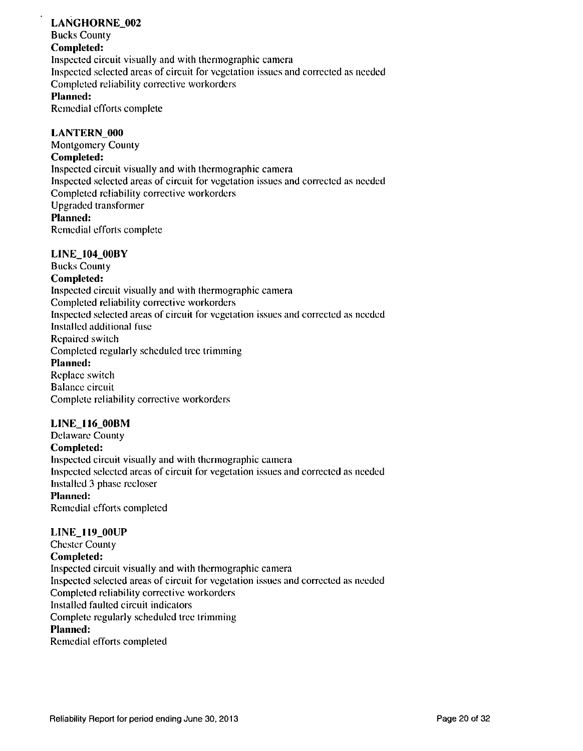### **LANGHORNE\_002**

**Bucks County** 

## **Completed:**

Inspected circuit visually and with thermographic camera Inspected selected areas of circuit for vegetation issues and corrected as needed Completed reliability corrective workorders **Planned:** 

Remedial efforts complete

### **LANTERN\_000**

**Montgomery County Completed:**  Inspected circuit visually and with thermographic camera Inspected selected areas of circuit for vegetation issues and corrected as needed Completed reliability corrective workorders Upgraded transformer **Planned:**  Remedial efforts complete

## **UNE\_104\_00BY**

**Bucks County** 

### **Completed:**

Inspected circuit visually and with thermographic camera Completed reliability corrective workorders Inspected selected areas of circuit for vegetation issues and corrected as needed Installed additional fuse Repaired switch Completed regularly scheduled tree trimming Planned: Replace switch Balance circuit Complete reliability corrective workorders

### **LINE\_116\_00BM**

**Delaware County Completed:**  Inspected circuit visually and with thermographic camera Inspected selected areas of circuit for vegetation issues and corrected as needed Installed 3 phase recloser **Planned:**  Remedial efforts completed

## **LINE\_n9\_00UP**

**Chester County Completed:**  Inspected circuit visually and wilh thermographic camera Inspected selected areas of circuit for vegetation issues and correcled as needed Completed reliability corrective workorders Installed faulted circuit indicators Complete regularly scheduled tree trimming **Planned:**  Remedial efforts compleied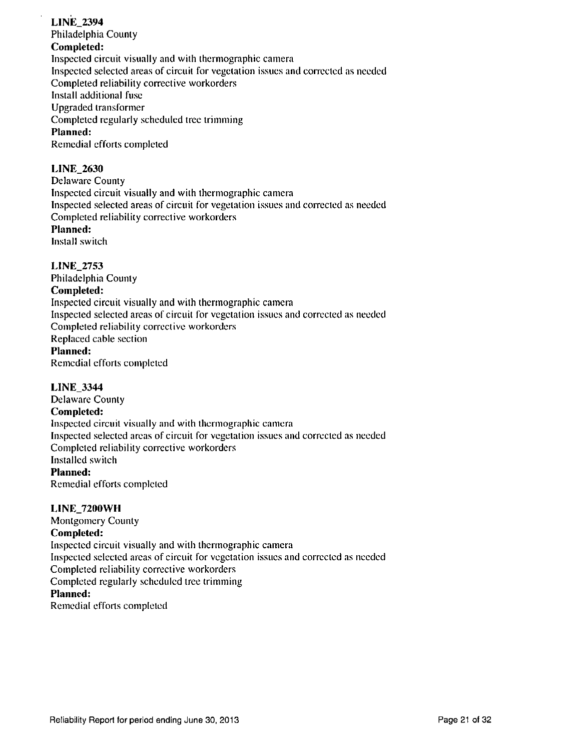## **LINE\_2394**

**Philadelphia County** 

## **Completed:**

Inspected circuit visually and with thermographic camera Inspected selected areas of circuit for vegetation issues and corrected as needed

Completed reliability corrective workorders

Install additional fuse

Upgraded transformer

**Completed regularly scheduled tree trimming** 

## **Planned:**

Remedial efforts completed

## **LINE\_2630**

Delaware County Inspected circuit visually and with thermographic camera Inspected selected areas of circuit for vegetation issues and corrected as needed Completed reliability corrective workorders

## **Planned:**

Install switch

## **LINE\_2753**

**Philadelphia County** 

## **Completed:**

Inspected circuit visually and with thermographic camera Inspected selected areas of circuit for vegetation issues and corrected as needed Completed reliability corrective workorders Replaced cable section **Planned:**  Remedial efforts completed

## **LINE\_3344**

**Delaware County** 

### **Completed:**

Inspected circuit visually and with thermographic camera Inspected selected areas of circuit for vegetation issues and corrected as needed Completed reliability corrective workorders Installed switch **Planned:**  Remedial efforts completed

### UNE\_7200WH

**Montgomery County Completed:**  Inspected circuit visually and with thermographic camera Inspected selected areas of circuit for vegetation issues and corrected as needed Completed reliability corrective workorders Completed regularly scheduled tree trimming **Planned:**  Remedial efforts compleied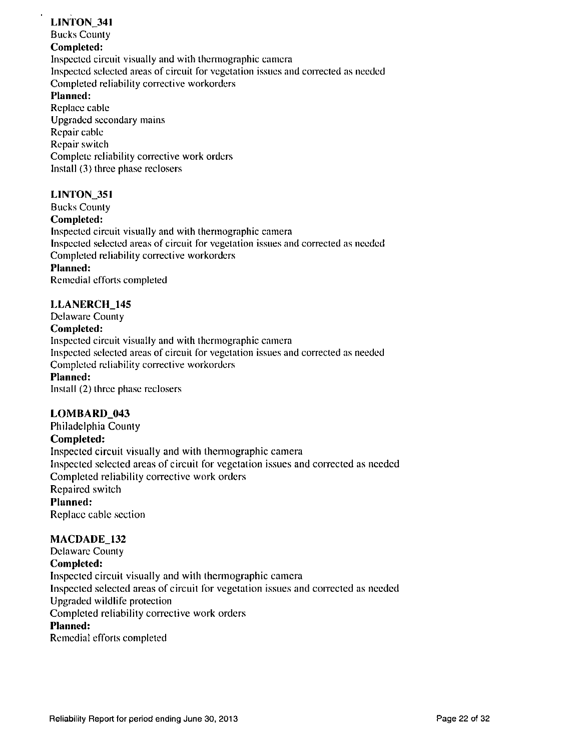## **LINTON\_341**

**Bucks County** 

### **Completed:**

Inspected circuit visually and wilh thermographic camera

Inspected selected areas of circuit for vegetation issues and corrected as needed

Completed reliability corrective workorders

## **Planned:**

Replace cable Upgraded secondary mains Repair cable Repair switch Complete reliability corrective work orders Install (3) three phase reclosers

## **LINTON\_351**

**Bucks County Completed:**  Inspected circuit visually and with thermographic camera Inspected selected areas of circuit for vegetation issues and corrected as needed Completed reliability corrective workorders **Planned:**  Remedial efforts completed

## **LLANERCH\_145**

**Delaware County** 

## **Completed:**

Inspected circuit visually and with thermographic camera Inspected selected areas of circuit for vegetation issues and corrected as needed Completed reliability corrective workorders **Planned:**  Install (2) three phase reclosers

## **LOMBARI)\_043**

**Philadelphia County Completed:**  Inspected circuit visually and with thermographic camera Inspected selected areas of circuit for vegetation issues and corrected as needed Completed reliability corrective work orders Repaired switch **Planned:**  Replace cable section

## **MACDADE\_132**

**Delaware County Completed:**  Inspected circuit visually and wilh thermographic camera Inspected selected areas of circuit for vegetation issues and corrected as needed Upgraded wildlife protection Completed reliability corrective work orders **Planned:**  Remedial efforts completed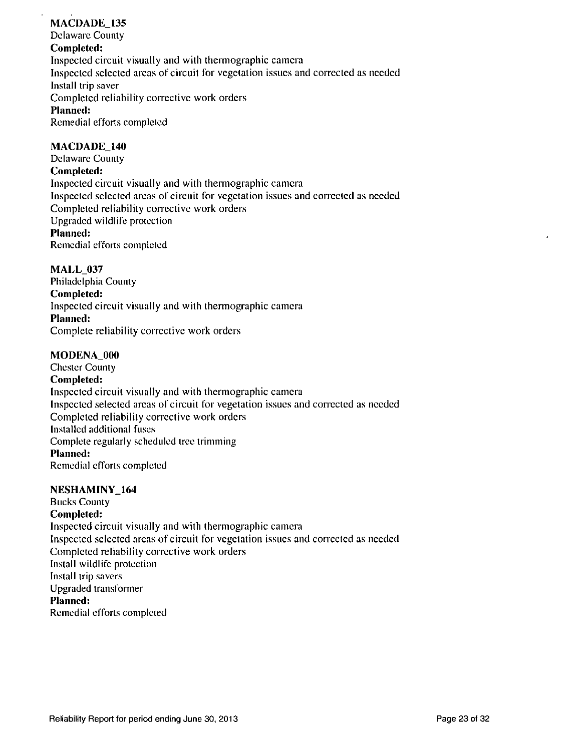## **MACDADE\_135**

**Delaware County Completed:**  Inspected circuit visually and with thermographic camera Inspected selected areas of circuit for vegetation issues and corrected as needed Install trip saver **Completed reliability corrective work orders Planned:**  Remedial efforts completed

### **MACDADE\_140**

**Delaware County Completed:**  Inspected circuit visually and with thermographic camera Inspected selected areas of circuit for vegetation issues and correcled as needed Completed reliability corrective work orders Upgraded wildlife protection **Planned:**  Remedial efforts completed

### **MALL\_037**

**Philadelphia County Completed: Inspected circuit visually and with thennographic camera Planned:**  Complete reliability corrective work orders

### **MODENA\_000**

**Chester County Completed:**  Inspected circuit visually and with thermographic camera Inspected selected areas of circuit for vegetation issues and corrected as needed Completed reliability corrective work orders Installed additional fuses Complete regularly scheduled tree trimming **Planned:**  Remedial efforts completed

### NESHAMINY\_164

**Bucks County** 

### **Completed:**

Inspecled circuit visually and with thermographic camera Inspected selected areas of circuit for vegetation issues and corrected as needed Completed reliability corrective work orders Install wildlife protection Install trip savers Upgraded transformer **Planned:**  Remedial efforts completed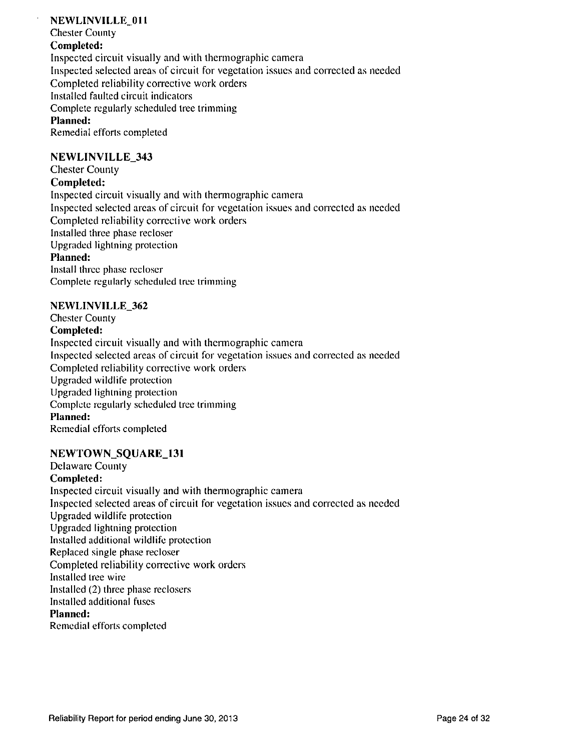### **NEWLINVILLE** 011

**Chester County** 

### **Completed:**

Inspected circuit visually and with thermographic camera Inspected selected areas of circuit for vegetation issues and corrected as needed Completed reliability corrective work orders Installed faulted circuit indicators Complete regularly scheduled tree trimming **Planned:**  Remedial efforts completed

### **NEWLINVILLE\_343**

## **Chester County**

### **Completed:**

Inspected circuit visually and with thermographic camera Inspected selected areas of circuit for vegetation issues and corrected as needed Completed reliability corrective work orders Installed three phase recloser Upgraded lightning protection **Planned:**  Install three phase recloser Complete regularly scheduled tree trimming

### **NEWLINVILLE\_362**

**Chester County Completed:**  Inspected circuit visually and with thennographic camera Inspected selected areas of circuit for vegetation issues and corrected as needed Completed reliability corrective work orders Upgraded wildlife protection Upgraded lightning protection Complete regularly scheduled tree trimming **Planned:**  Remedial efforts completed

### **NEWTOWNSQUARE\_131**

**Delaware County Completed:**  Inspected circuit visually and with thermographic camera Inspected selected areas of circuit for vegetation issues and corrected as needed Upgraded wildlife protection Upgraded lightning protection Installed additional wildlife protection Replaced single phase recloser Completed reliability corrective work orders Installed tree wire Installed (2) three phase reclosers Installed additional fuses **Planned:**  Remedial efforts completed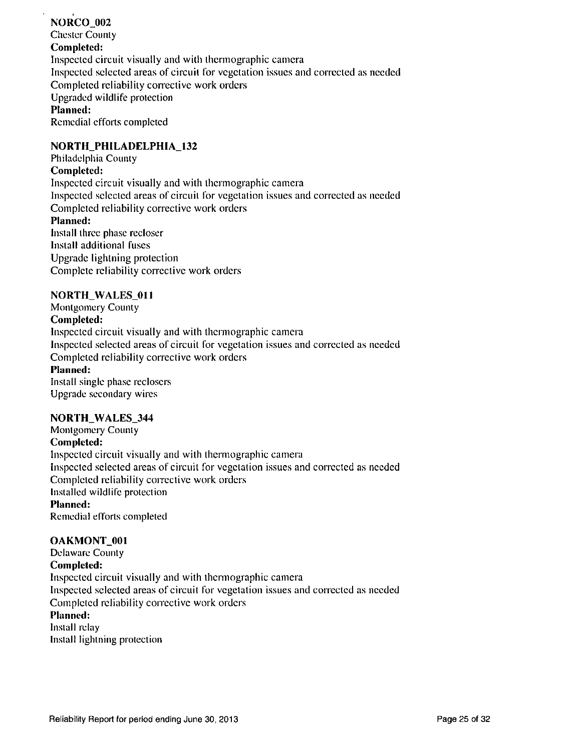**NORCO** 002 **Chester County Completed:**  Inspected circuit visually and with thermographic camera Inspected selected areas of circuit for vegetation issues and corrected as needed Completed reliability corrective work orders Upgraded wildlife protection **Planned:**  Remedial efforts completed

## **NORTH\_PHILADELPHIA\_132**

**Philadelphia County** 

### **Completed:**

Inspected circuit visually and with thermographic camera Inspected selected areas of circuit for vegetation issues and corrected as needed Completed reliability corrective work orders **Planned:**  Install three phase recloser Install addilionai fuses Upgrade lightning protection Complete reliability corrective work orders

### **NORTH\_WALES\_011**

**Montgomery County Completed:**  Inspecled circuit visually and with thermographic camera Inspected selected areas of circuit for vegetation issues and corrected as needed Completed reliability corrective work orders **Planned:**  Install single phase reclosers Upgrade secondary wires

### **NORTH\_WALES\_344**

**Montgomery County Completed:**  Inspected circuit visually and with thermographic camera Inspected selected areas of circuit for vegetation issues and correcled as needed Completed reliability corrective work orders Installed wildlife protection **Planned:**  Remedial efforts completed

### **OAKMONT** 001

**Delaware County Completed:**  Inspected circuit visually and with thermographic camera Inspected selected areas of circuit for vegetation issues and corrected as needed Completed reliability corrective work orders **Planned:**  Install relay

Install lightning protection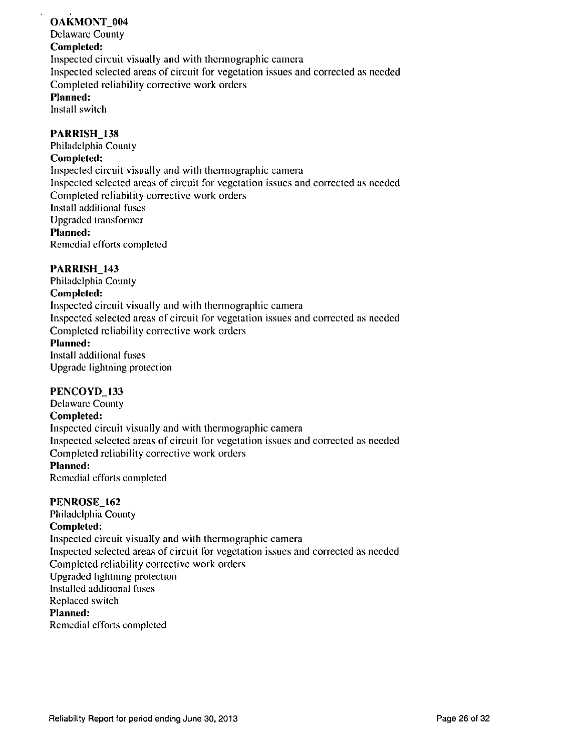## **OAKMONT** 004

**Delaware Counly Completed:**  Inspected circuit visually and with thermographic camera Inspected selected areas of circuit for vegetation issues and corrected as needed Completed reliability corrective work orders **Planned:** 

Install switch

### **PARRISH\_138**

**Philadelphia County Completed:**  Inspected circuit visually and with thermographic camera Inspected selected areas of circuit for vegetation issues and corrected as needed Completed reliability corrective work orders Install additional fuses Upgraded transformer **Planned:**  Remedial efforts completed

### **PARRISH\_143**

**Philadelphia County Completed:**  Inspected circuit visually and with thermographic camera Inspected selected areas of circuit for vegetation issues and corrected as needed Completed reliability corrective work orders **Planned:**  Install additional fuses Upgrade lightning protection

### **PENCOYD\_133**

**Delaware County Completed:**  Inspected circuit visually and with thermographic camera Inspected selected areas of circuit for vegetation issues and corrected as needed Completed reliability corrective work orders **Planned:**  Remedial efforts completed

### **PENROSE\_I62**

**Philadelphia County Completed:**  Inspected circuit visually and with thermographic camera Inspected selected areas of circuit for vegetation issues and corrected as needed Completed reliability corrective work orders Upgraded lightning protection Installed additional fuses Replaced switch **Planned:**  Remedial efforts completed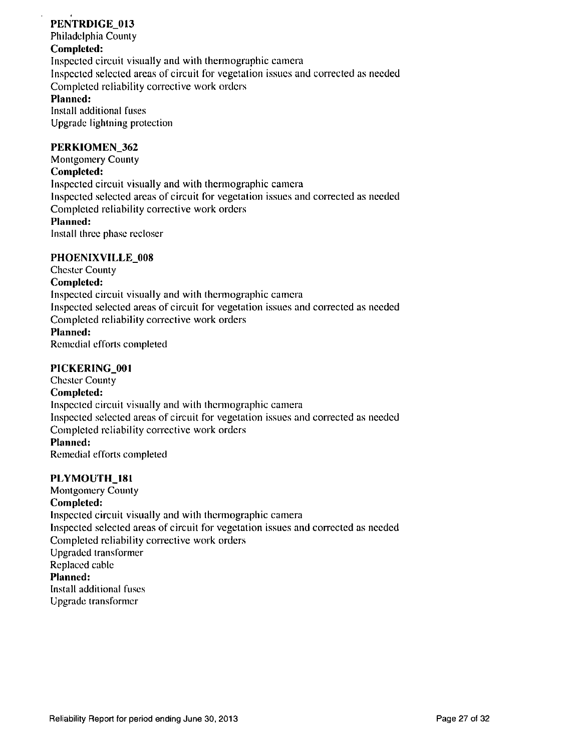## **PENTRDIGE\_013**

**Philadelphia County** 

## **Completed:**

Inspected circuit visually and with thermographic camera Inspected selected areas of circuit for vegetation issues and corrected as needed Completed reliability corrective work orders **Planned:** 

Install additional fuses Upgrade lightning protection

### **PERKIOMEN\_362**

**Montgomery County Completed:**  Inspected circuit visually and with thermographic camera Inspected selected areas of circuit for vegetation issues and corrected as needed Completed reliability corrective work orders **Planned:**  Install three phase recloser

### **PHOEN1XVILLE\_008**

**Chester County Completed:**  Inspected circuit visually and with thermographic camera Inspected selected areas of circuit for vegetation issues and corrected as needed Completed reliability corrective work orders **Planned:**  Remedial efforts completed

### **PICKERING\_001**

**Chester County Completed:**  Inspected circuit visually and with thermographic camera Inspected selected areas of circuit for vegetation issues and corrected as needed Completed reliability corrective work orders **Planned:**  Remedial efforts completed

### **PLYMOUTH\_181**

**Montgomery County Completed:**  Inspected circuit visually and with thermographic camera Inspected selected areas of circuit for vegetation issues and corrected as needed Completed reliability corrective work orders Upgraded transformer Replaced cable **Planned:**  Install additional fuses Upgrade transformer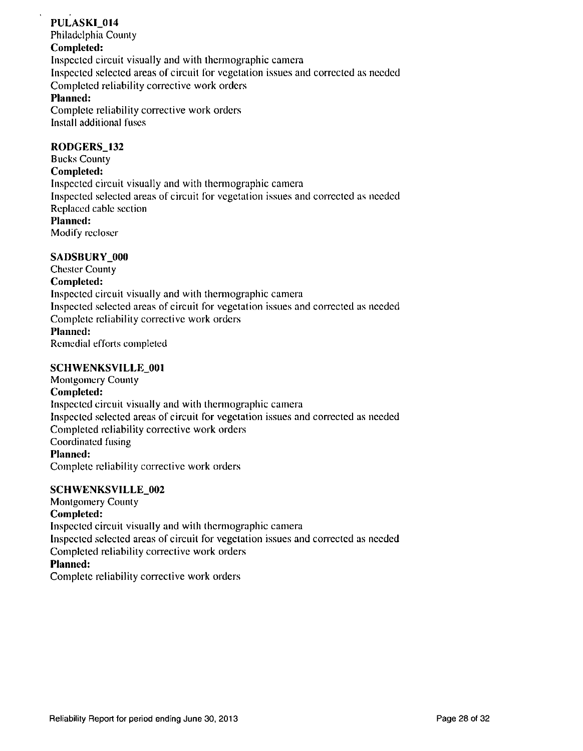## **PULASKI\_014**

**Philadelphia County** 

## **Completed:**

Inspected circuit visually and with thermographic camera Inspected selected areas of circuit for vegetation issues and corrected as needed

Completed reliability corrective work orders

## **Planned:**

Complete reliability corrective work orders Install additional fuses

## **RODGERS\_132**

**Bucks County Completed:**  Inspected circuit visually and with thermographic camera Inspected selected areas of circuit for vegetation issues and corrected as needed Replaced cable section **Planned:** 

Modify recloser

## **SADSBURY\_000**

**Chester County Completed:**  Inspected circuit visually and with thermographic camera Inspected selected areas of circuit for vegetation issues and corrected as needed Complete reliability corrective work orders **Planned:**  Remedial efforts completed

## **SCHWENKSVILLE 001**

**Montgomery Counly Completed:**  Inspecled circuit visually and with thermographic camera Inspecled selected areas of circuit for vegetation issues and corrected as needed Completed reliability corrective work orders Coordinated fusing **Planned:**  Complete reliability corrective work orders

### SCHWENKSVILLE\_002

**Monlgomery County** 

### **Completed:**

Inspected circuit visually and wilh thermographic camera Inspected selected areas of circuit for vegetation issues and corrected as needed Completed reliability corrective work orders **Planned:**  Complete reliability corrective work orders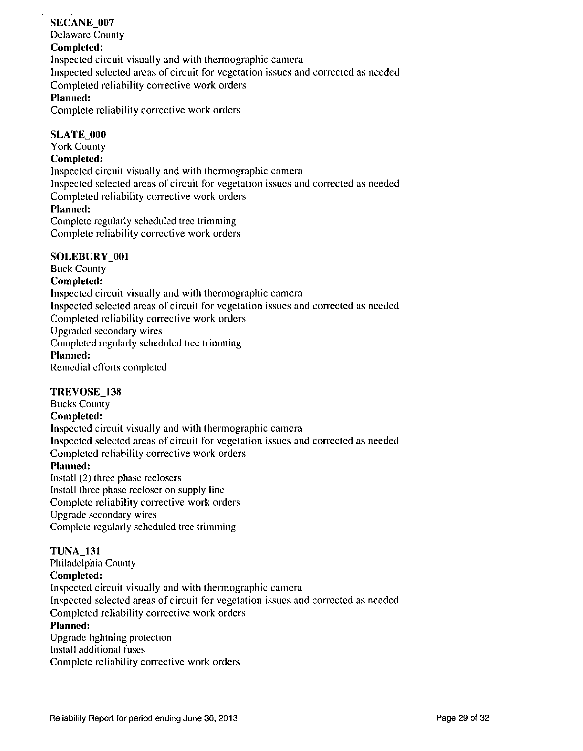### **SECANE\_007 Delaware County Completed:**  Inspected circuit visually and with thermographic camera Inspected selected areas of circuit for vegetation issues and corrected as needed Completed reliability corrective work orders **Planned:**

Complete reliability corrective work orders

### **SLATE 000**

**York County** 

### **Completed:**

Inspected circuit visually and with thennographic camera

Inspected selected areas of circuit for vegetation issues and corrected as needed

Completed reliability corrective work orders

### **Planned:**

Complete regularly scheduled tree trimming Complete reliability corrective work orders

### **SOLEBURY 001**

**Buck County Completed:**  Inspected circuit visually and with thermographic camera Inspected selected areas of circuit for vegetation issues and correcled as needed Completed reliability corrective work orders Upgraded secondary wires Completed regularly scheduled tree trimming **Planned:**  Remedial efforts completed

### **TREVOSE\_138**

**Bucks County Completed:**  Inspected circuit visually and with thermographic camera Inspected selected areas of circuit for vegetation issues and corrected as needed Completed reliability corrective work orders **Planned:**  Install (2) three phase reclosers Install three phase recloser on supply line Complete reliability corrective work orders Upgrade secondary wires

Complete regularly scheduled tree trimming

### **TUNA\_131**

**Philadelphia County Completed:**  Inspected circuit visually and with thermographic camera Inspected selected areas of circuit for vegetation issues and corrected as needed Completed reliability corrective work orders **Planned:**  Upgrade lightning protection Install additional fuses Complete reliability corrective work orders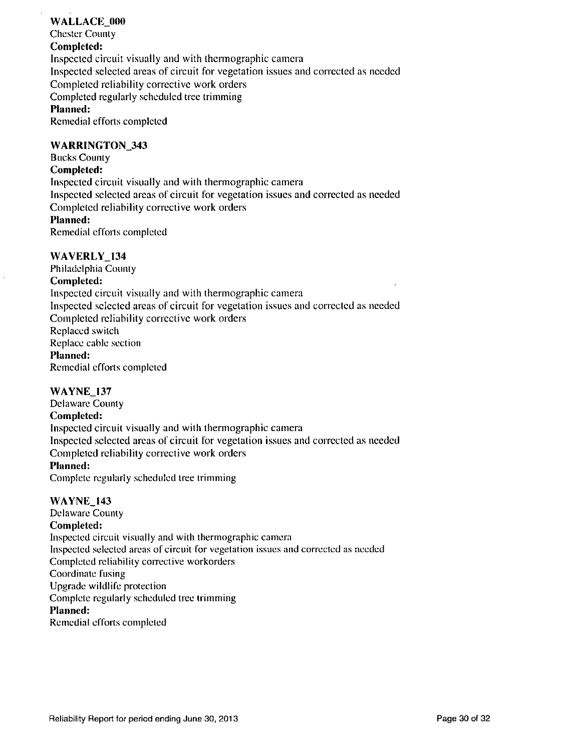## **WALLACE\_000**

**Chester County** 

## **Completed:**

Inspected circuit visually and with thennographic camera Inspected selected areas of circuit for vegetation issues and corrected as needed Completed reliability corrective work orders Completed regularly scheduled tree trimming **Planned:**  Remedial efforts completed

### **WARRINGTON\_343**

**Bucks County** 

### **Completed:**

Inspected circuit visually and with thermographic camera Inspected selected areas of circuit for vegetation issues and corrected as needed Completed reliability corrective work orders **Planned:**  Remedial efforts completed

### **WAVERLY** 134

**Philadelphia County Completed:**  Inspected circuit visually and with thermographic camera Inspected selected areas of circuit for vegetation issues and corrected as needed Completed reliability corrective work orders Replaced switch Replace cable section **Planned:**  Remedial efforts completed

### **WAYNE\_I37**

**Delaware County Completed:**  Inspected circuit visually and with thermographic camera Inspected selected areas of circuit for vegetation issues and corrected as needed Completed reliability corrective work orders **Planned:** 

Complete regularly scheduled tree trimming

### **WAYNE\_143**

**Delaware County Completed:**  Inspected circuit visually and with thermographic camera Inspected selected areas of circuit for vegetation issues and correcled as needed Completed reliability corrective workorders Coordinate fusing Upgrade wildlife protection Complete regularly scheduled tree trimming **Planned:**  Remedial efforts completed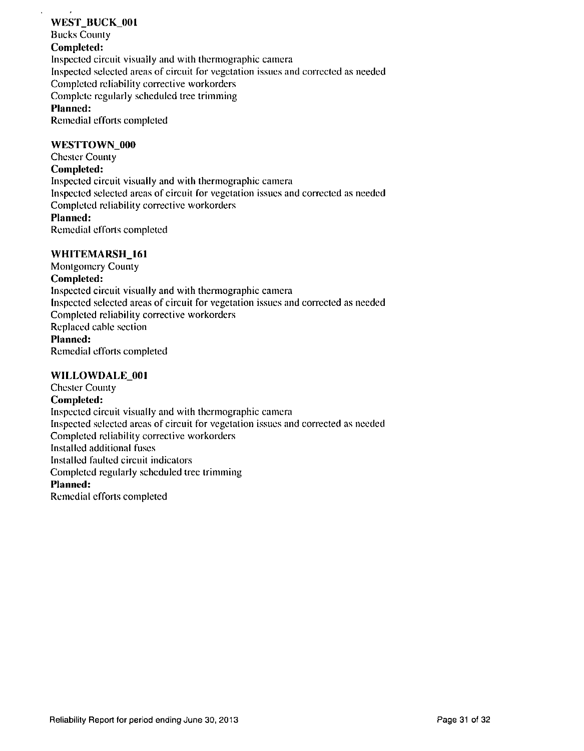### **WEST\_BUCK\_001**

**Bucks County** 

### **Completed:**

Inspected circuit visually and with thermographic camera

Inspected selected areas of circuit for vegetation issues and corrected as needed

Completed reliability corrective workorders

Complete regularly scheduled tree trimming

## **Planned:**

Remedial efforts completed

### **WESTTOWN\_000**

**Chester County** 

### **Completed:**

Inspecled circuit visually and with thermographic camera

Inspected selected areas of circuit for vegetation issues and corrected as needed Completed reliability corrective workorders

### **Planned:**

Remedial efforts completed

### **WHITEMARSH\_161**

**Montgomery County** 

### **Completed:**

Inspected circuit visually and with thermographic camera Inspected selected areas of circuit for vegetation issues and corrected as needed Completed reliability corrective workorders Replaced cable section **Planned:**  Remedial efforts completed

## **WILLOWDALE\_001**

**Chester County Completed:**  Inspected circuit visually and wilh thermographic camera Inspecled selected areas of circuit for vegetation issues and correcled as needed Completed reliability corrective workorders Installed additional fuses Installed faulted circuit indicators Completed regularly scheduled tree trimming **Planned:**  Remedial efforts completed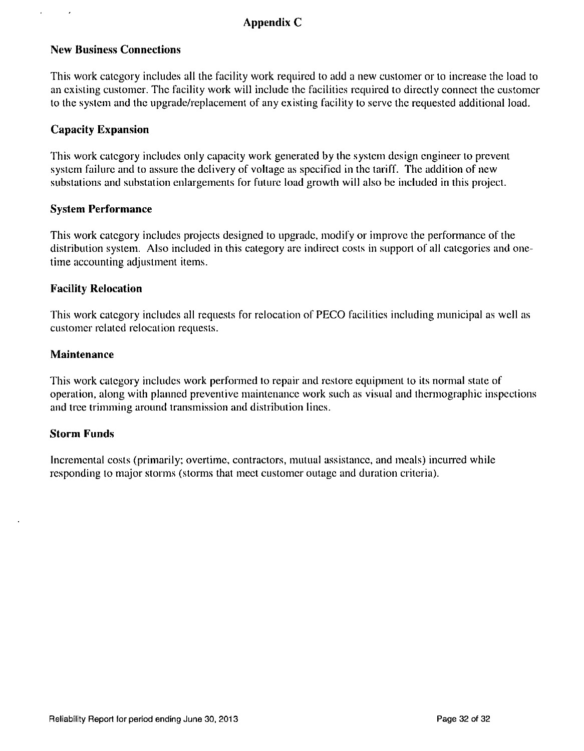## **Appendix C**

## **New Business Connections**

This work category includes all the facility work required to add a new cuslomer or lo increase the load to an existing customer. The facility work will include the facilities required to directly connect the customer to the system and the upgrade/replacement of any existing facility lo serve the requested additional load.

## **Capacity Expansion**

 $\cdot$ 

This work category includes only capacity work generated by the system design engineer to prevent system failure and to assure the delivery of voltage as specified in the tariff. The addition of new substations and substation enlargements for fulure load growth will also be included in this project.

### **System Performance**

This work category includes projects designed to upgrade, modify or improve the performance of the distribution system. Also included in this category are indirect costs in support of all categories and onetime accounting adjustment items.

### **Facility Relocation**

This work category includes all requests for relocation of PECO facilities including municipal as well as customer related relocation requests.

### **Maintenance**

This work category includes work performed to repair and restore equipment lo its normal state of operation, along with planned preventive maintenance work such as visual and thermographic inspections and tree trimming around transmission and distribution lines.

### **Storm Funds**

Incremental costs (primarily; overtime, contractors, mutual assistance, and meals) incurred while responding to major storms (storms that meet customer outage and duration criteria).